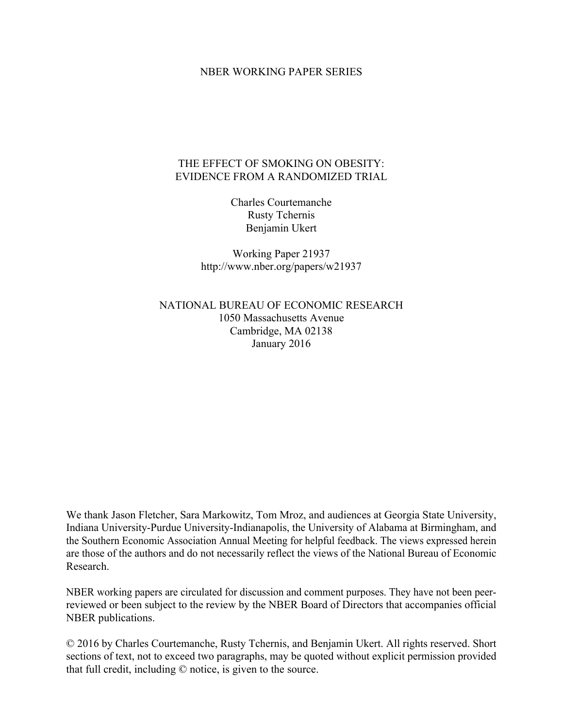#### NBER WORKING PAPER SERIES

### THE EFFECT OF SMOKING ON OBESITY: EVIDENCE FROM A RANDOMIZED TRIAL

Charles Courtemanche Rusty Tchernis Benjamin Ukert

Working Paper 21937 http://www.nber.org/papers/w21937

NATIONAL BUREAU OF ECONOMIC RESEARCH 1050 Massachusetts Avenue Cambridge, MA 02138 January 2016

We thank Jason Fletcher, Sara Markowitz, Tom Mroz, and audiences at Georgia State University, Indiana University-Purdue University-Indianapolis, the University of Alabama at Birmingham, and the Southern Economic Association Annual Meeting for helpful feedback. The views expressed herein are those of the authors and do not necessarily reflect the views of the National Bureau of Economic Research.

NBER working papers are circulated for discussion and comment purposes. They have not been peerreviewed or been subject to the review by the NBER Board of Directors that accompanies official NBER publications.

© 2016 by Charles Courtemanche, Rusty Tchernis, and Benjamin Ukert. All rights reserved. Short sections of text, not to exceed two paragraphs, may be quoted without explicit permission provided that full credit, including © notice, is given to the source.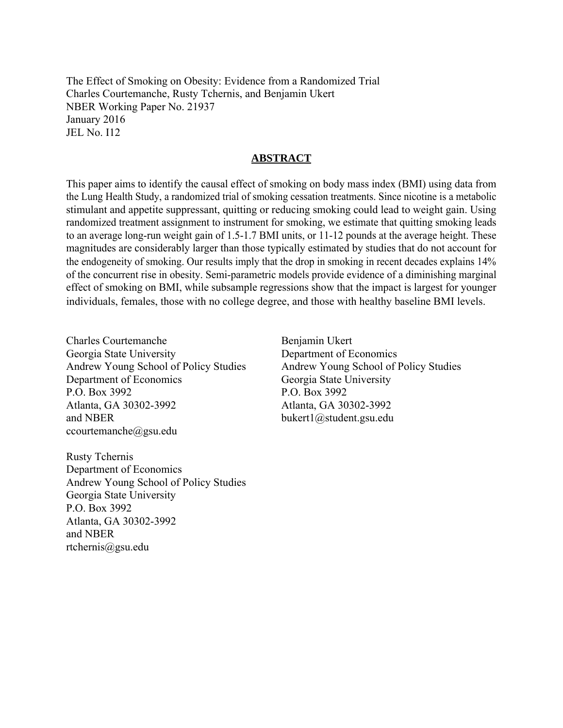The Effect of Smoking on Obesity: Evidence from a Randomized Trial Charles Courtemanche, Rusty Tchernis, and Benjamin Ukert NBER Working Paper No. 21937 January 2016 JEL No. I12

#### **ABSTRACT**

This paper aims to identify the causal effect of smoking on body mass index (BMI) using data from the Lung Health Study, a randomized trial of smoking cessation treatments. Since nicotine is a metabolic stimulant and appetite suppressant, quitting or reducing smoking could lead to weight gain. Using randomized treatment assignment to instrument for smoking, we estimate that quitting smoking leads to an average long-run weight gain of 1.5-1.7 BMI units, or 11-12 pounds at the average height. These magnitudes are considerably larger than those typically estimated by studies that do not account for the endogeneity of smoking. Our results imply that the drop in smoking in recent decades explains 14% of the concurrent rise in obesity. Semi-parametric models provide evidence of a diminishing marginal effect of smoking on BMI, while subsample regressions show that the impact is largest for younger individuals, females, those with no college degree, and those with healthy baseline BMI levels.

Charles Courtemanche Georgia State University Andrew Young School of Policy Studies Department of Economics P.O. Box 3992 Atlanta, GA 30302-3992 and NBER ccourtemanche@gsu.edu

Rusty Tchernis Department of Economics Andrew Young School of Policy Studies Georgia State University P.O. Box 3992 Atlanta, GA 30302-3992 and NBER rtchernis@gsu.edu

Benjamin Ukert Department of Economics Andrew Young School of Policy Studies Georgia State University P.O. Box 3992 Atlanta, GA 30302-3992 bukert1@student.gsu.edu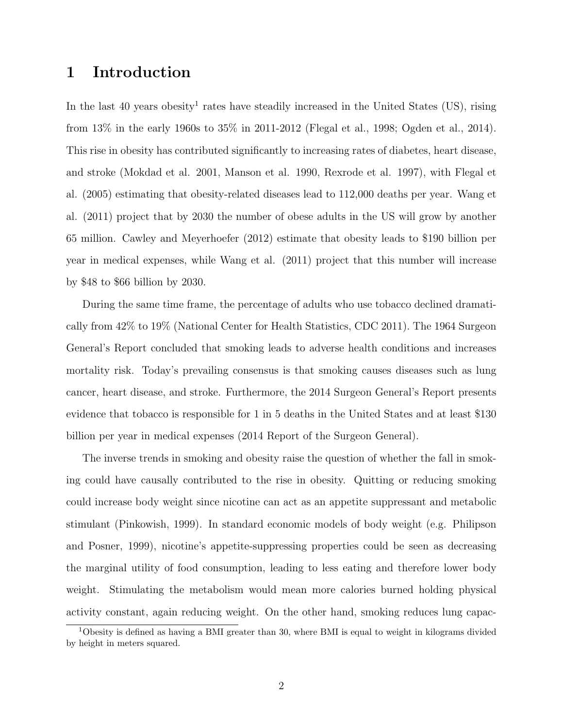# 1 Introduction

In the last 40 years obesity<sup>1</sup> rates have steadily increased in the United States (US), rising from 13% in the early 1960s to 35% in 2011-2012 (Flegal et al., 1998; Ogden et al., 2014). This rise in obesity has contributed significantly to increasing rates of diabetes, heart disease, and stroke (Mokdad et al. 2001, Manson et al. 1990, Rexrode et al. 1997), with Flegal et al. (2005) estimating that obesity-related diseases lead to 112,000 deaths per year. Wang et al. (2011) project that by 2030 the number of obese adults in the US will grow by another 65 million. Cawley and Meyerhoefer (2012) estimate that obesity leads to \$190 billion per year in medical expenses, while Wang et al. (2011) project that this number will increase by \$48 to \$66 billion by 2030.

During the same time frame, the percentage of adults who use tobacco declined dramatically from 42% to 19% (National Center for Health Statistics, CDC 2011). The 1964 Surgeon General's Report concluded that smoking leads to adverse health conditions and increases mortality risk. Today's prevailing consensus is that smoking causes diseases such as lung cancer, heart disease, and stroke. Furthermore, the 2014 Surgeon General's Report presents evidence that tobacco is responsible for 1 in 5 deaths in the United States and at least \$130 billion per year in medical expenses (2014 Report of the Surgeon General).

The inverse trends in smoking and obesity raise the question of whether the fall in smoking could have causally contributed to the rise in obesity. Quitting or reducing smoking could increase body weight since nicotine can act as an appetite suppressant and metabolic stimulant (Pinkowish, 1999). In standard economic models of body weight (e.g. Philipson and Posner, 1999), nicotine's appetite-suppressing properties could be seen as decreasing the marginal utility of food consumption, leading to less eating and therefore lower body weight. Stimulating the metabolism would mean more calories burned holding physical activity constant, again reducing weight. On the other hand, smoking reduces lung capac-

<sup>1</sup>Obesity is defined as having a BMI greater than 30, where BMI is equal to weight in kilograms divided by height in meters squared.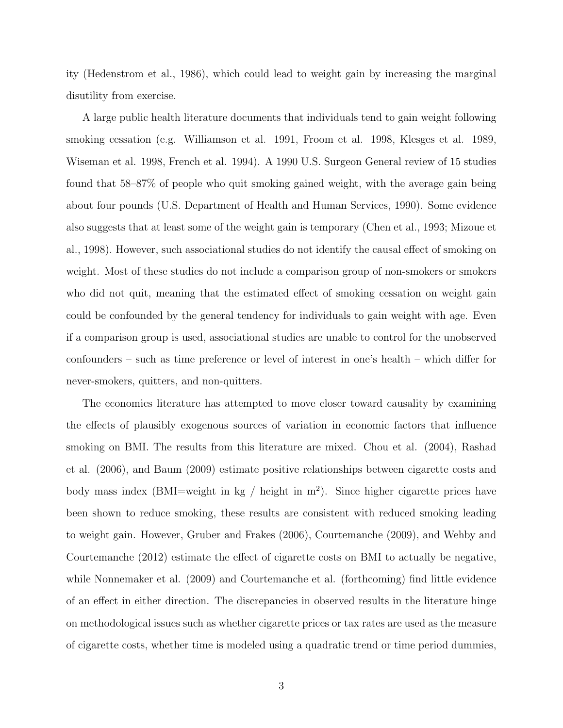ity (Hedenstrom et al., 1986), which could lead to weight gain by increasing the marginal disutility from exercise.

A large public health literature documents that individuals tend to gain weight following smoking cessation (e.g. Williamson et al. 1991, Froom et al. 1998, Klesges et al. 1989, Wiseman et al. 1998, French et al. 1994). A 1990 U.S. Surgeon General review of 15 studies found that 58–87% of people who quit smoking gained weight, with the average gain being about four pounds (U.S. Department of Health and Human Services, 1990). Some evidence also suggests that at least some of the weight gain is temporary (Chen et al., 1993; Mizoue et al., 1998). However, such associational studies do not identify the causal effect of smoking on weight. Most of these studies do not include a comparison group of non-smokers or smokers who did not quit, meaning that the estimated effect of smoking cessation on weight gain could be confounded by the general tendency for individuals to gain weight with age. Even if a comparison group is used, associational studies are unable to control for the unobserved confounders – such as time preference or level of interest in one's health – which differ for never-smokers, quitters, and non-quitters.

The economics literature has attempted to move closer toward causality by examining the effects of plausibly exogenous sources of variation in economic factors that influence smoking on BMI. The results from this literature are mixed. Chou et al. (2004), Rashad et al. (2006), and Baum (2009) estimate positive relationships between cigarette costs and body mass index (BMI=weight in kg / height in m<sup>2</sup>). Since higher cigarette prices have been shown to reduce smoking, these results are consistent with reduced smoking leading to weight gain. However, Gruber and Frakes (2006), Courtemanche (2009), and Wehby and Courtemanche (2012) estimate the effect of cigarette costs on BMI to actually be negative, while Nonnemaker et al. (2009) and Courtemanche et al. (forthcoming) find little evidence of an effect in either direction. The discrepancies in observed results in the literature hinge on methodological issues such as whether cigarette prices or tax rates are used as the measure of cigarette costs, whether time is modeled using a quadratic trend or time period dummies,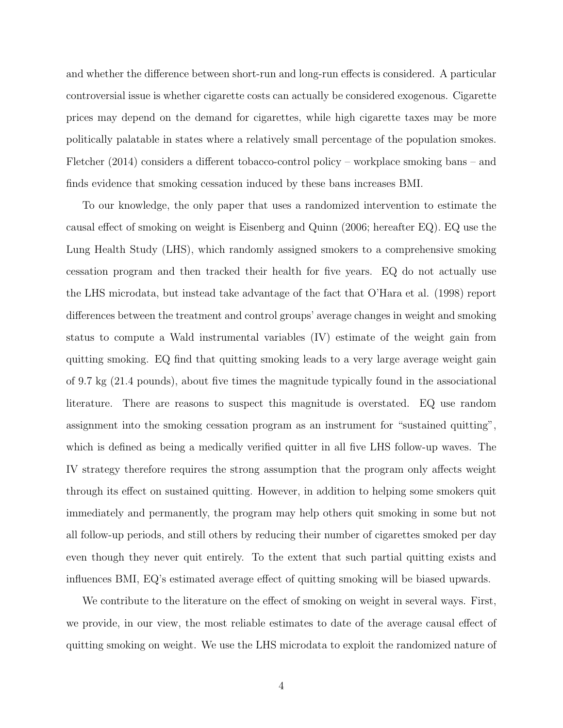and whether the difference between short-run and long-run effects is considered. A particular controversial issue is whether cigarette costs can actually be considered exogenous. Cigarette prices may depend on the demand for cigarettes, while high cigarette taxes may be more politically palatable in states where a relatively small percentage of the population smokes. Fletcher (2014) considers a different tobacco-control policy – workplace smoking bans – and finds evidence that smoking cessation induced by these bans increases BMI.

To our knowledge, the only paper that uses a randomized intervention to estimate the causal effect of smoking on weight is Eisenberg and Quinn (2006; hereafter EQ). EQ use the Lung Health Study (LHS), which randomly assigned smokers to a comprehensive smoking cessation program and then tracked their health for five years. EQ do not actually use the LHS microdata, but instead take advantage of the fact that O'Hara et al. (1998) report differences between the treatment and control groups' average changes in weight and smoking status to compute a Wald instrumental variables (IV) estimate of the weight gain from quitting smoking. EQ find that quitting smoking leads to a very large average weight gain of 9.7 kg (21.4 pounds), about five times the magnitude typically found in the associational literature. There are reasons to suspect this magnitude is overstated. EQ use random assignment into the smoking cessation program as an instrument for "sustained quitting", which is defined as being a medically verified quitter in all five LHS follow-up waves. The IV strategy therefore requires the strong assumption that the program only affects weight through its effect on sustained quitting. However, in addition to helping some smokers quit immediately and permanently, the program may help others quit smoking in some but not all follow-up periods, and still others by reducing their number of cigarettes smoked per day even though they never quit entirely. To the extent that such partial quitting exists and influences BMI, EQ's estimated average effect of quitting smoking will be biased upwards.

We contribute to the literature on the effect of smoking on weight in several ways. First, we provide, in our view, the most reliable estimates to date of the average causal effect of quitting smoking on weight. We use the LHS microdata to exploit the randomized nature of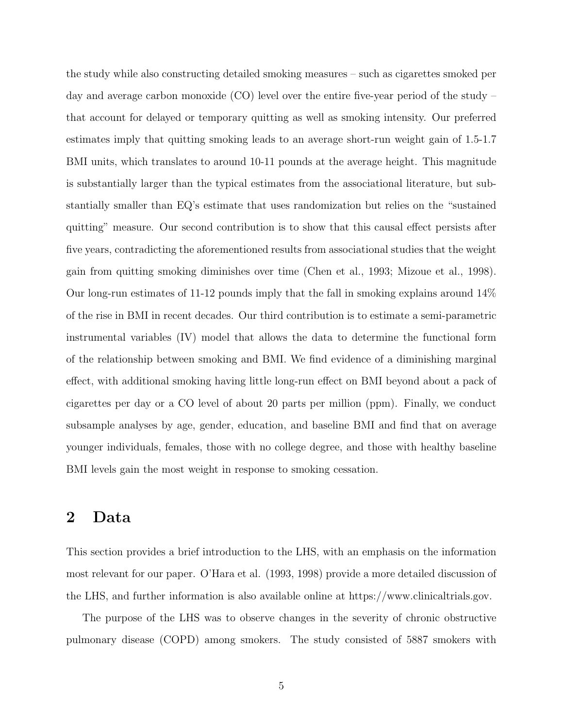the study while also constructing detailed smoking measures – such as cigarettes smoked per day and average carbon monoxide (CO) level over the entire five-year period of the study – that account for delayed or temporary quitting as well as smoking intensity. Our preferred estimates imply that quitting smoking leads to an average short-run weight gain of 1.5-1.7 BMI units, which translates to around 10-11 pounds at the average height. This magnitude is substantially larger than the typical estimates from the associational literature, but substantially smaller than EQ's estimate that uses randomization but relies on the "sustained quitting" measure. Our second contribution is to show that this causal effect persists after five years, contradicting the aforementioned results from associational studies that the weight gain from quitting smoking diminishes over time (Chen et al., 1993; Mizoue et al., 1998). Our long-run estimates of 11-12 pounds imply that the fall in smoking explains around 14% of the rise in BMI in recent decades. Our third contribution is to estimate a semi-parametric instrumental variables (IV) model that allows the data to determine the functional form of the relationship between smoking and BMI. We find evidence of a diminishing marginal effect, with additional smoking having little long-run effect on BMI beyond about a pack of cigarettes per day or a CO level of about 20 parts per million (ppm). Finally, we conduct subsample analyses by age, gender, education, and baseline BMI and find that on average younger individuals, females, those with no college degree, and those with healthy baseline BMI levels gain the most weight in response to smoking cessation.

# 2 Data

This section provides a brief introduction to the LHS, with an emphasis on the information most relevant for our paper. O'Hara et al. (1993, 1998) provide a more detailed discussion of the LHS, and further information is also available online at https://www.clinicaltrials.gov.

The purpose of the LHS was to observe changes in the severity of chronic obstructive pulmonary disease (COPD) among smokers. The study consisted of 5887 smokers with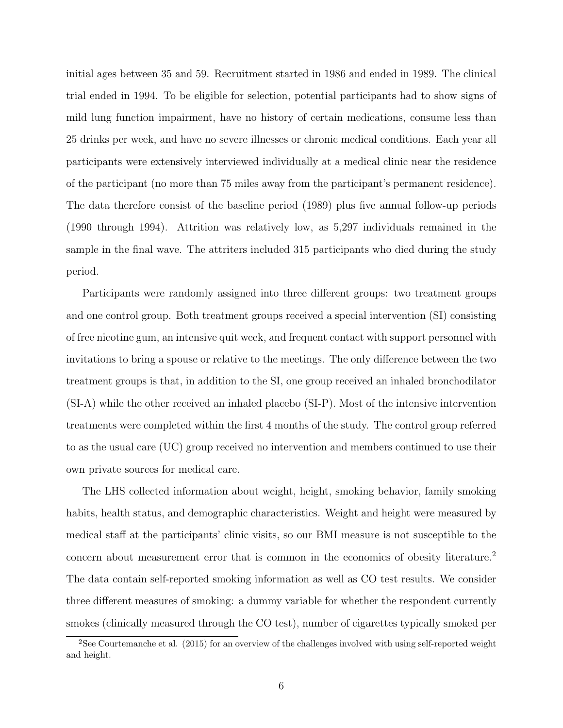initial ages between 35 and 59. Recruitment started in 1986 and ended in 1989. The clinical trial ended in 1994. To be eligible for selection, potential participants had to show signs of mild lung function impairment, have no history of certain medications, consume less than 25 drinks per week, and have no severe illnesses or chronic medical conditions. Each year all participants were extensively interviewed individually at a medical clinic near the residence of the participant (no more than 75 miles away from the participant's permanent residence). The data therefore consist of the baseline period (1989) plus five annual follow-up periods (1990 through 1994). Attrition was relatively low, as 5,297 individuals remained in the sample in the final wave. The attriters included 315 participants who died during the study period.

Participants were randomly assigned into three different groups: two treatment groups and one control group. Both treatment groups received a special intervention (SI) consisting of free nicotine gum, an intensive quit week, and frequent contact with support personnel with invitations to bring a spouse or relative to the meetings. The only difference between the two treatment groups is that, in addition to the SI, one group received an inhaled bronchodilator (SI-A) while the other received an inhaled placebo (SI-P). Most of the intensive intervention treatments were completed within the first 4 months of the study. The control group referred to as the usual care (UC) group received no intervention and members continued to use their own private sources for medical care.

The LHS collected information about weight, height, smoking behavior, family smoking habits, health status, and demographic characteristics. Weight and height were measured by medical staff at the participants' clinic visits, so our BMI measure is not susceptible to the concern about measurement error that is common in the economics of obesity literature.<sup>2</sup> The data contain self-reported smoking information as well as CO test results. We consider three different measures of smoking: a dummy variable for whether the respondent currently smokes (clinically measured through the CO test), number of cigarettes typically smoked per

<sup>2</sup>See Courtemanche et al. (2015) for an overview of the challenges involved with using self-reported weight and height.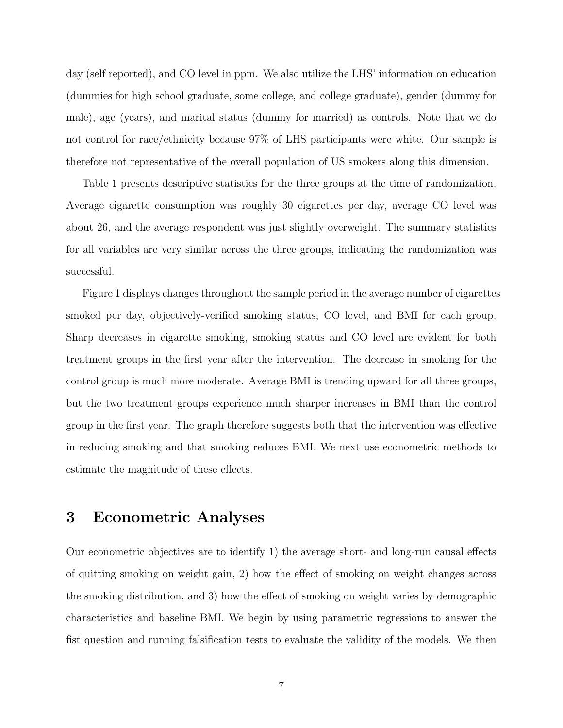day (self reported), and CO level in ppm. We also utilize the LHS' information on education (dummies for high school graduate, some college, and college graduate), gender (dummy for male), age (years), and marital status (dummy for married) as controls. Note that we do not control for race/ethnicity because 97% of LHS participants were white. Our sample is therefore not representative of the overall population of US smokers along this dimension.

Table 1 presents descriptive statistics for the three groups at the time of randomization. Average cigarette consumption was roughly 30 cigarettes per day, average CO level was about 26, and the average respondent was just slightly overweight. The summary statistics for all variables are very similar across the three groups, indicating the randomization was successful.

Figure 1 displays changes throughout the sample period in the average number of cigarettes smoked per day, objectively-verified smoking status, CO level, and BMI for each group. Sharp decreases in cigarette smoking, smoking status and CO level are evident for both treatment groups in the first year after the intervention. The decrease in smoking for the control group is much more moderate. Average BMI is trending upward for all three groups, but the two treatment groups experience much sharper increases in BMI than the control group in the first year. The graph therefore suggests both that the intervention was effective in reducing smoking and that smoking reduces BMI. We next use econometric methods to estimate the magnitude of these effects.

# 3 Econometric Analyses

Our econometric objectives are to identify 1) the average short- and long-run causal effects of quitting smoking on weight gain, 2) how the effect of smoking on weight changes across the smoking distribution, and 3) how the effect of smoking on weight varies by demographic characteristics and baseline BMI. We begin by using parametric regressions to answer the fist question and running falsification tests to evaluate the validity of the models. We then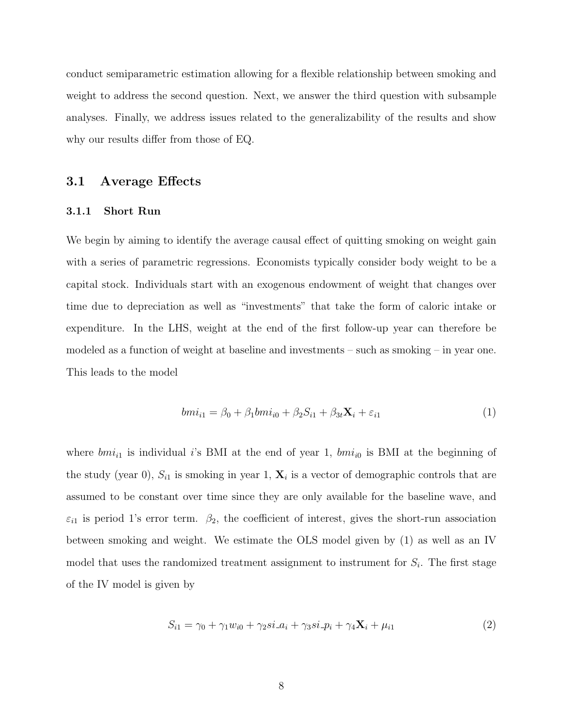conduct semiparametric estimation allowing for a flexible relationship between smoking and weight to address the second question. Next, we answer the third question with subsample analyses. Finally, we address issues related to the generalizability of the results and show why our results differ from those of EQ.

### 3.1 Average Effects

#### 3.1.1 Short Run

We begin by aiming to identify the average causal effect of quitting smoking on weight gain with a series of parametric regressions. Economists typically consider body weight to be a capital stock. Individuals start with an exogenous endowment of weight that changes over time due to depreciation as well as "investments" that take the form of caloric intake or expenditure. In the LHS, weight at the end of the first follow-up year can therefore be modeled as a function of weight at baseline and investments – such as smoking – in year one. This leads to the model

$$
bmi_{i1} = \beta_0 + \beta_1 bmi_{i0} + \beta_2 S_{i1} + \beta_{3t} \mathbf{X}_i + \varepsilon_{i1}
$$
\n(1)

where  $bmi_{i1}$  is individual i's BMI at the end of year 1,  $bmi_{i0}$  is BMI at the beginning of the study (year 0),  $S_{i1}$  is smoking in year 1,  $\mathbf{X}_i$  is a vector of demographic controls that are assumed to be constant over time since they are only available for the baseline wave, and  $\varepsilon_{i1}$  is period 1's error term.  $\beta_2$ , the coefficient of interest, gives the short-run association between smoking and weight. We estimate the OLS model given by (1) as well as an IV model that uses the randomized treatment assignment to instrument for  $S_i$ . The first stage of the IV model is given by

$$
S_{i1} = \gamma_0 + \gamma_1 w_{i0} + \gamma_2 s i_a_i + \gamma_3 s i_a p_i + \gamma_4 \mathbf{X}_i + \mu_{i1}
$$
 (2)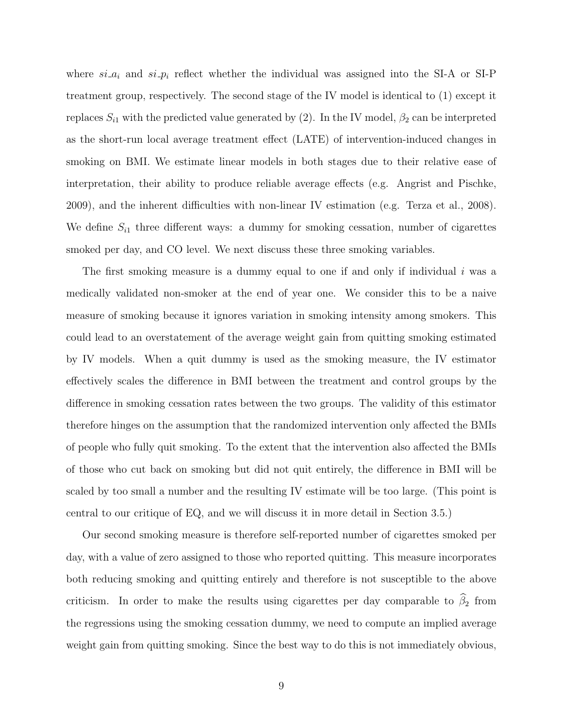where  $si_{-}a_i$  and  $si_{-}p_i$  reflect whether the individual was assigned into the SI-A or SI-P treatment group, respectively. The second stage of the IV model is identical to (1) except it replaces  $S_{i1}$  with the predicted value generated by (2). In the IV model,  $\beta_2$  can be interpreted as the short-run local average treatment effect (LATE) of intervention-induced changes in smoking on BMI. We estimate linear models in both stages due to their relative ease of interpretation, their ability to produce reliable average effects (e.g. Angrist and Pischke, 2009), and the inherent difficulties with non-linear IV estimation (e.g. Terza et al., 2008). We define  $S_{i1}$  three different ways: a dummy for smoking cessation, number of cigarettes smoked per day, and CO level. We next discuss these three smoking variables.

The first smoking measure is a dummy equal to one if and only if individual  $i$  was a medically validated non-smoker at the end of year one. We consider this to be a naive measure of smoking because it ignores variation in smoking intensity among smokers. This could lead to an overstatement of the average weight gain from quitting smoking estimated by IV models. When a quit dummy is used as the smoking measure, the IV estimator effectively scales the difference in BMI between the treatment and control groups by the difference in smoking cessation rates between the two groups. The validity of this estimator therefore hinges on the assumption that the randomized intervention only affected the BMIs of people who fully quit smoking. To the extent that the intervention also affected the BMIs of those who cut back on smoking but did not quit entirely, the difference in BMI will be scaled by too small a number and the resulting IV estimate will be too large. (This point is central to our critique of EQ, and we will discuss it in more detail in Section 3.5.)

Our second smoking measure is therefore self-reported number of cigarettes smoked per day, with a value of zero assigned to those who reported quitting. This measure incorporates both reducing smoking and quitting entirely and therefore is not susceptible to the above criticism. In order to make the results using cigarettes per day comparable to  $\hat{\beta}_2$  from the regressions using the smoking cessation dummy, we need to compute an implied average weight gain from quitting smoking. Since the best way to do this is not immediately obvious,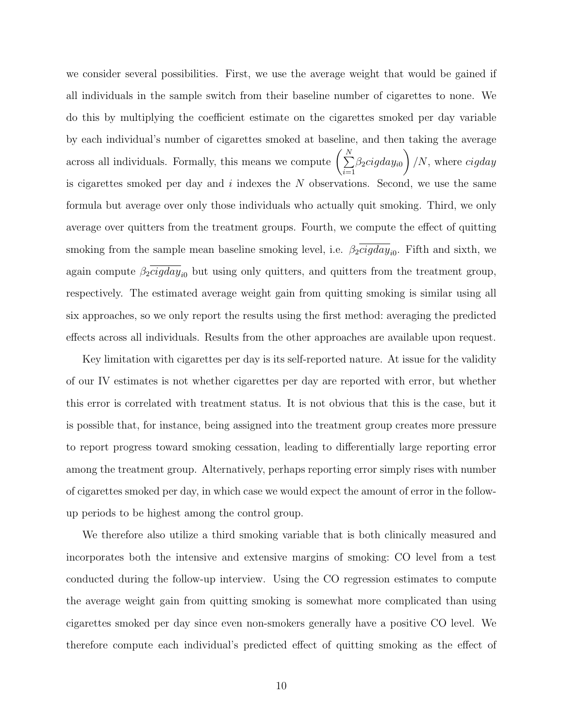we consider several possibilities. First, we use the average weight that would be gained if all individuals in the sample switch from their baseline number of cigarettes to none. We do this by multiplying the coefficient estimate on the cigarettes smoked per day variable by each individual's number of cigarettes smoked at baseline, and then taking the average across all individuals. Formally, this means we compute  $\left(\sum_{i=1}^{N} A_i\right)^2$  $i=1$  $\beta_2$ cigday<sub>i0</sub>  $\setminus$  $/N$ , where *cigday* is cigarettes smoked per day and  $i$  indexes the  $N$  observations. Second, we use the same formula but average over only those individuals who actually quit smoking. Third, we only average over quitters from the treatment groups. Fourth, we compute the effect of quitting smoking from the sample mean baseline smoking level, i.e.  $\beta_2 \text{cigday}_{i0}$ . Fifth and sixth, we again compute  $\beta_2 \overline{cigday}_{i0}$  but using only quitters, and quitters from the treatment group, respectively. The estimated average weight gain from quitting smoking is similar using all six approaches, so we only report the results using the first method: averaging the predicted effects across all individuals. Results from the other approaches are available upon request.

Key limitation with cigarettes per day is its self-reported nature. At issue for the validity of our IV estimates is not whether cigarettes per day are reported with error, but whether this error is correlated with treatment status. It is not obvious that this is the case, but it is possible that, for instance, being assigned into the treatment group creates more pressure to report progress toward smoking cessation, leading to differentially large reporting error among the treatment group. Alternatively, perhaps reporting error simply rises with number of cigarettes smoked per day, in which case we would expect the amount of error in the followup periods to be highest among the control group.

We therefore also utilize a third smoking variable that is both clinically measured and incorporates both the intensive and extensive margins of smoking: CO level from a test conducted during the follow-up interview. Using the CO regression estimates to compute the average weight gain from quitting smoking is somewhat more complicated than using cigarettes smoked per day since even non-smokers generally have a positive CO level. We therefore compute each individual's predicted effect of quitting smoking as the effect of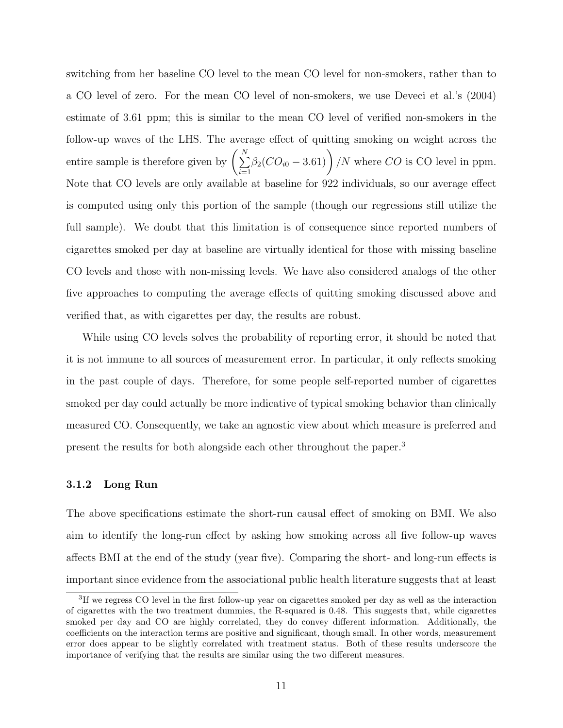switching from her baseline CO level to the mean CO level for non-smokers, rather than to a CO level of zero. For the mean CO level of non-smokers, we use Deveci et al.'s (2004) estimate of 3.61 ppm; this is similar to the mean CO level of verified non-smokers in the follow-up waves of the LHS. The average effect of quitting smoking on weight across the entire sample is therefore given by  $\left(\sum_{i=1}^{N} A_i\right)$  $i=1$  $\beta_2(CO_{i0} - 3.61)$  /N where CO is CO level in ppm. Note that CO levels are only available at baseline for 922 individuals, so our average effect is computed using only this portion of the sample (though our regressions still utilize the full sample). We doubt that this limitation is of consequence since reported numbers of cigarettes smoked per day at baseline are virtually identical for those with missing baseline CO levels and those with non-missing levels. We have also considered analogs of the other five approaches to computing the average effects of quitting smoking discussed above and verified that, as with cigarettes per day, the results are robust.

While using CO levels solves the probability of reporting error, it should be noted that it is not immune to all sources of measurement error. In particular, it only reflects smoking in the past couple of days. Therefore, for some people self-reported number of cigarettes smoked per day could actually be more indicative of typical smoking behavior than clinically measured CO. Consequently, we take an agnostic view about which measure is preferred and present the results for both alongside each other throughout the paper.<sup>3</sup>

#### 3.1.2 Long Run

The above specifications estimate the short-run causal effect of smoking on BMI. We also aim to identify the long-run effect by asking how smoking across all five follow-up waves affects BMI at the end of the study (year five). Comparing the short- and long-run effects is important since evidence from the associational public health literature suggests that at least

<sup>&</sup>lt;sup>3</sup>If we regress CO level in the first follow-up year on cigarettes smoked per day as well as the interaction of cigarettes with the two treatment dummies, the R-squared is 0.48. This suggests that, while cigarettes smoked per day and CO are highly correlated, they do convey different information. Additionally, the coefficients on the interaction terms are positive and significant, though small. In other words, measurement error does appear to be slightly correlated with treatment status. Both of these results underscore the importance of verifying that the results are similar using the two different measures.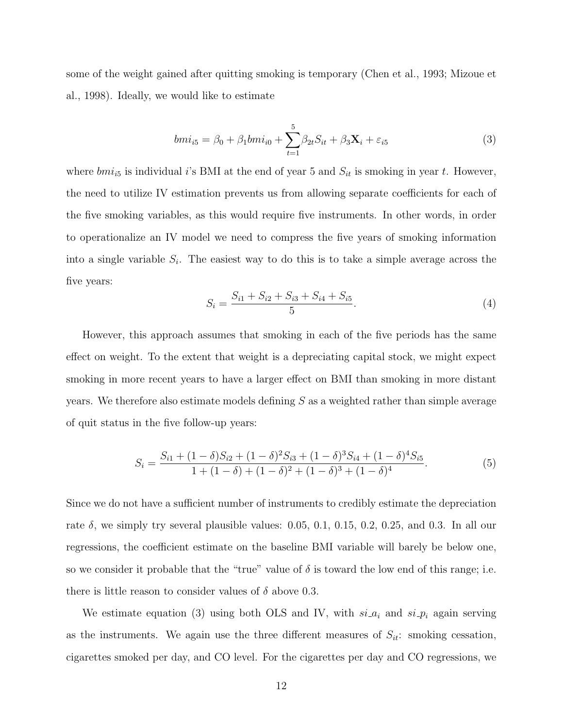some of the weight gained after quitting smoking is temporary (Chen et al., 1993; Mizoue et al., 1998). Ideally, we would like to estimate

$$
bmi_{i5} = \beta_0 + \beta_1 bmi_{i0} + \sum_{t=1}^{5} \beta_{2t} S_{it} + \beta_3 \mathbf{X}_i + \varepsilon_{i5}
$$
 (3)

where  $bmi_{i5}$  is individual i's BMI at the end of year 5 and  $S_{it}$  is smoking in year t. However, the need to utilize IV estimation prevents us from allowing separate coefficients for each of the five smoking variables, as this would require five instruments. In other words, in order to operationalize an IV model we need to compress the five years of smoking information into a single variable  $S_i$ . The easiest way to do this is to take a simple average across the five years:

$$
S_i = \frac{S_{i1} + S_{i2} + S_{i3} + S_{i4} + S_{i5}}{5}.
$$
\n
$$
(4)
$$

However, this approach assumes that smoking in each of the five periods has the same effect on weight. To the extent that weight is a depreciating capital stock, we might expect smoking in more recent years to have a larger effect on BMI than smoking in more distant years. We therefore also estimate models defining  $S$  as a weighted rather than simple average of quit status in the five follow-up years:

$$
S_i = \frac{S_{i1} + (1 - \delta)S_{i2} + (1 - \delta)^2 S_{i3} + (1 - \delta)^3 S_{i4} + (1 - \delta)^4 S_{i5}}{1 + (1 - \delta) + (1 - \delta)^2 + (1 - \delta)^3 + (1 - \delta)^4}.
$$
\n(5)

Since we do not have a sufficient number of instruments to credibly estimate the depreciation rate  $\delta$ , we simply try several plausible values: 0.05, 0.1, 0.15, 0.2, 0.25, and 0.3. In all our regressions, the coefficient estimate on the baseline BMI variable will barely be below one, so we consider it probable that the "true" value of  $\delta$  is toward the low end of this range; i.e. there is little reason to consider values of  $\delta$  above 0.3.

We estimate equation (3) using both OLS and IV, with  $si_{-}a_i$  and  $si_{-}p_i$  again serving as the instruments. We again use the three different measures of  $S_{it}$ : smoking cessation, cigarettes smoked per day, and CO level. For the cigarettes per day and CO regressions, we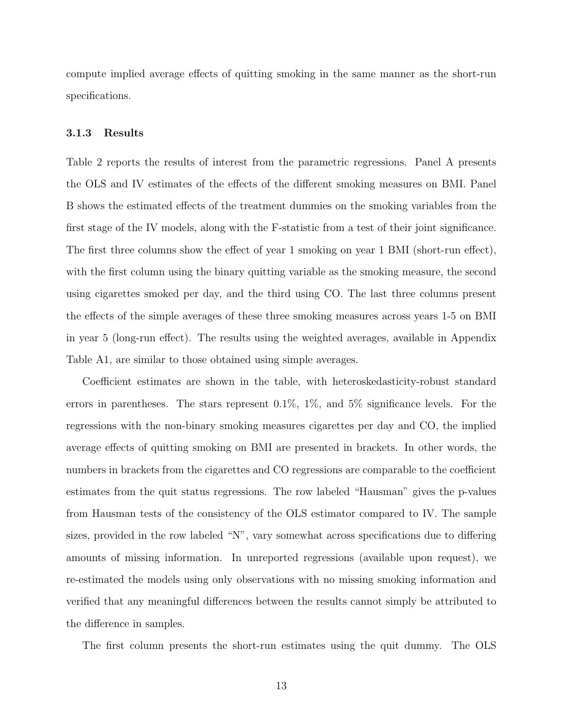compute implied average effects of quitting smoking in the same manner as the short-run specifications.

#### 3.1.3 Results

Table 2 reports the results of interest from the parametric regressions. Panel A presents the OLS and IV estimates of the effects of the different smoking measures on BMI. Panel B shows the estimated effects of the treatment dummies on the smoking variables from the first stage of the IV models, along with the F-statistic from a test of their joint significance. The first three columns show the effect of year 1 smoking on year 1 BMI (short-run effect), with the first column using the binary quitting variable as the smoking measure, the second using cigarettes smoked per day, and the third using CO. The last three columns present the effects of the simple averages of these three smoking measures across years 1-5 on BMI in year 5 (long-run effect). The results using the weighted averages, available in Appendix Table A1, are similar to those obtained using simple averages.

Coefficient estimates are shown in the table, with heteroskedasticity-robust standard errors in parentheses. The stars represent  $0.1\%$ ,  $1\%$ , and  $5\%$  significance levels. For the regressions with the non-binary smoking measures cigarettes per day and CO, the implied average effects of quitting smoking on BMI are presented in brackets. In other words, the numbers in brackets from the cigarettes and CO regressions are comparable to the coefficient estimates from the quit status regressions. The row labeled "Hausman" gives the p-values from Hausman tests of the consistency of the OLS estimator compared to IV. The sample sizes, provided in the row labeled "N", vary somewhat across specifications due to differing amounts of missing information. In unreported regressions (available upon request), we re-estimated the models using only observations with no missing smoking information and verified that any meaningful differences between the results cannot simply be attributed to the difference in samples.

The first column presents the short-run estimates using the quit dummy. The OLS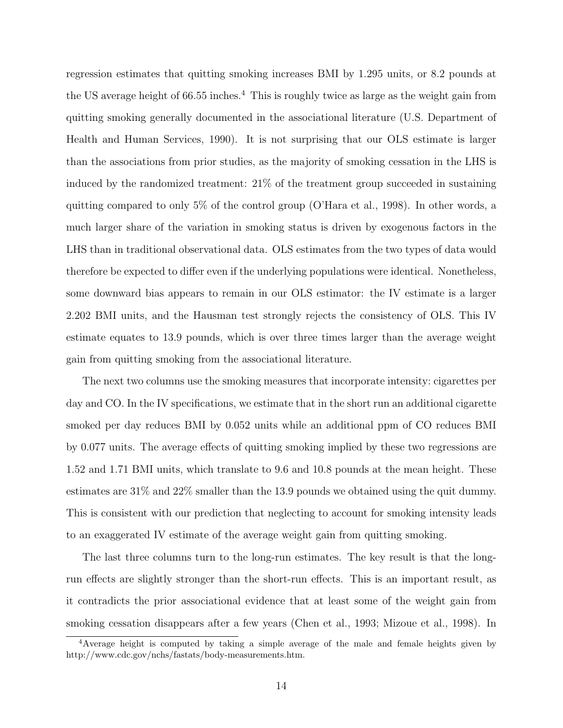regression estimates that quitting smoking increases BMI by 1.295 units, or 8.2 pounds at the US average height of  $66.55$  inches.<sup>4</sup> This is roughly twice as large as the weight gain from quitting smoking generally documented in the associational literature (U.S. Department of Health and Human Services, 1990). It is not surprising that our OLS estimate is larger than the associations from prior studies, as the majority of smoking cessation in the LHS is induced by the randomized treatment: 21% of the treatment group succeeded in sustaining quitting compared to only 5% of the control group (O'Hara et al., 1998). In other words, a much larger share of the variation in smoking status is driven by exogenous factors in the LHS than in traditional observational data. OLS estimates from the two types of data would therefore be expected to differ even if the underlying populations were identical. Nonetheless, some downward bias appears to remain in our OLS estimator: the IV estimate is a larger 2.202 BMI units, and the Hausman test strongly rejects the consistency of OLS. This IV estimate equates to 13.9 pounds, which is over three times larger than the average weight gain from quitting smoking from the associational literature.

The next two columns use the smoking measures that incorporate intensity: cigarettes per day and CO. In the IV specifications, we estimate that in the short run an additional cigarette smoked per day reduces BMI by 0.052 units while an additional ppm of CO reduces BMI by 0.077 units. The average effects of quitting smoking implied by these two regressions are 1.52 and 1.71 BMI units, which translate to 9.6 and 10.8 pounds at the mean height. These estimates are 31% and 22% smaller than the 13.9 pounds we obtained using the quit dummy. This is consistent with our prediction that neglecting to account for smoking intensity leads to an exaggerated IV estimate of the average weight gain from quitting smoking.

The last three columns turn to the long-run estimates. The key result is that the longrun effects are slightly stronger than the short-run effects. This is an important result, as it contradicts the prior associational evidence that at least some of the weight gain from smoking cessation disappears after a few years (Chen et al., 1993; Mizoue et al., 1998). In

<sup>4</sup>Average height is computed by taking a simple average of the male and female heights given by http://www.cdc.gov/nchs/fastats/body-measurements.htm.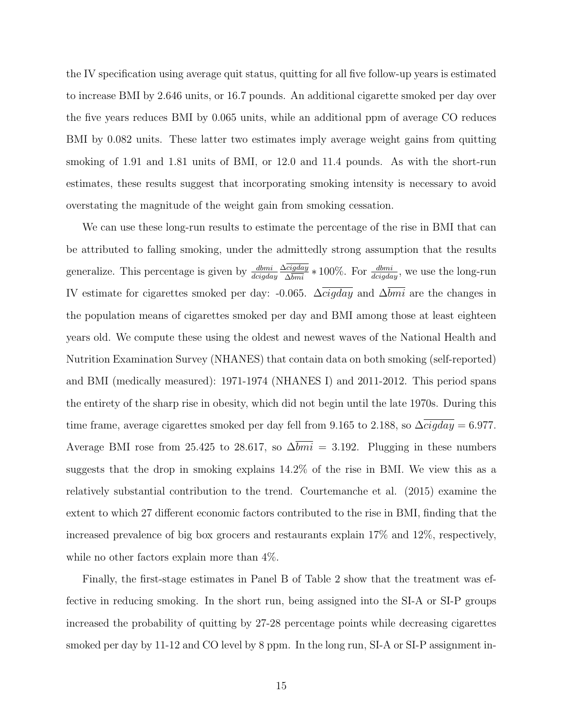the IV specification using average quit status, quitting for all five follow-up years is estimated to increase BMI by 2.646 units, or 16.7 pounds. An additional cigarette smoked per day over the five years reduces BMI by 0.065 units, while an additional ppm of average CO reduces BMI by 0.082 units. These latter two estimates imply average weight gains from quitting smoking of 1.91 and 1.81 units of BMI, or 12.0 and 11.4 pounds. As with the short-run estimates, these results suggest that incorporating smoking intensity is necessary to avoid overstating the magnitude of the weight gain from smoking cessation.

We can use these long-run results to estimate the percentage of the rise in BMI that can be attributed to falling smoking, under the admittedly strong assumption that the results generalize. This percentage is given by  $\frac{dbmi}{dcigday}$  $\frac{\Delta cigday}{\Delta bmi} * 100\%$ . For  $\frac{dbmi}{dcigday}$ , we use the long-run IV estimate for cigarettes smoked per day: -0.065. ∆cigday and ∆bmi are the changes in the population means of cigarettes smoked per day and BMI among those at least eighteen years old. We compute these using the oldest and newest waves of the National Health and Nutrition Examination Survey (NHANES) that contain data on both smoking (self-reported) and BMI (medically measured): 1971-1974 (NHANES I) and 2011-2012. This period spans the entirety of the sharp rise in obesity, which did not begin until the late 1970s. During this time frame, average cigarettes smoked per day fell from 9.165 to 2.188, so  $\Delta \overline{cigday} = 6.977$ . Average BMI rose from 25.425 to 28.617, so  $\Delta \overline{bmi} = 3.192$ . Plugging in these numbers suggests that the drop in smoking explains 14.2% of the rise in BMI. We view this as a relatively substantial contribution to the trend. Courtemanche et al. (2015) examine the extent to which 27 different economic factors contributed to the rise in BMI, finding that the increased prevalence of big box grocers and restaurants explain 17% and 12%, respectively, while no other factors explain more than 4%.

Finally, the first-stage estimates in Panel B of Table 2 show that the treatment was effective in reducing smoking. In the short run, being assigned into the SI-A or SI-P groups increased the probability of quitting by 27-28 percentage points while decreasing cigarettes smoked per day by 11-12 and CO level by 8 ppm. In the long run, SI-A or SI-P assignment in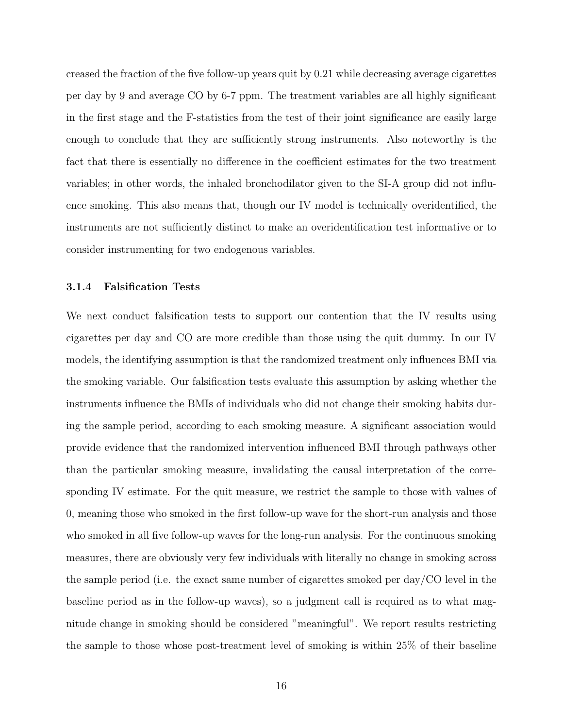creased the fraction of the five follow-up years quit by 0.21 while decreasing average cigarettes per day by 9 and average CO by 6-7 ppm. The treatment variables are all highly significant in the first stage and the F-statistics from the test of their joint significance are easily large enough to conclude that they are sufficiently strong instruments. Also noteworthy is the fact that there is essentially no difference in the coefficient estimates for the two treatment variables; in other words, the inhaled bronchodilator given to the SI-A group did not influence smoking. This also means that, though our IV model is technically overidentified, the instruments are not sufficiently distinct to make an overidentification test informative or to consider instrumenting for two endogenous variables.

#### 3.1.4 Falsification Tests

We next conduct falsification tests to support our contention that the IV results using cigarettes per day and CO are more credible than those using the quit dummy. In our IV models, the identifying assumption is that the randomized treatment only influences BMI via the smoking variable. Our falsification tests evaluate this assumption by asking whether the instruments influence the BMIs of individuals who did not change their smoking habits during the sample period, according to each smoking measure. A significant association would provide evidence that the randomized intervention influenced BMI through pathways other than the particular smoking measure, invalidating the causal interpretation of the corresponding IV estimate. For the quit measure, we restrict the sample to those with values of 0, meaning those who smoked in the first follow-up wave for the short-run analysis and those who smoked in all five follow-up waves for the long-run analysis. For the continuous smoking measures, there are obviously very few individuals with literally no change in smoking across the sample period (i.e. the exact same number of cigarettes smoked per day/CO level in the baseline period as in the follow-up waves), so a judgment call is required as to what magnitude change in smoking should be considered "meaningful". We report results restricting the sample to those whose post-treatment level of smoking is within 25% of their baseline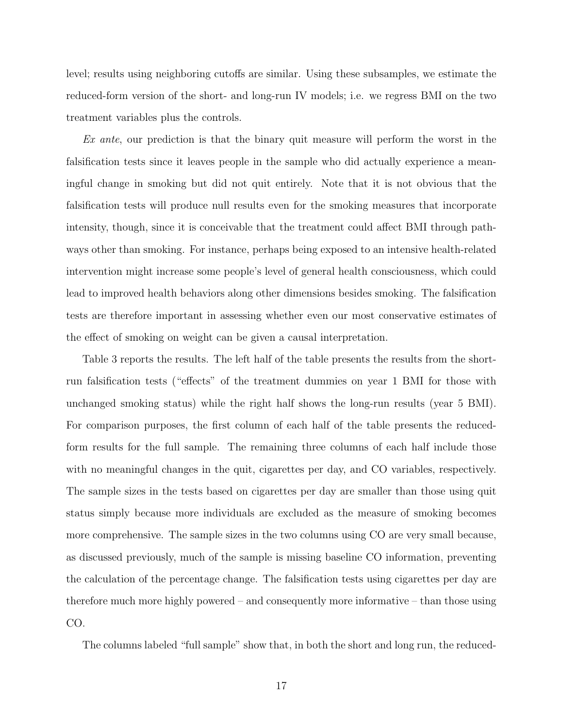level; results using neighboring cutoffs are similar. Using these subsamples, we estimate the reduced-form version of the short- and long-run IV models; i.e. we regress BMI on the two treatment variables plus the controls.

Ex ante, our prediction is that the binary quit measure will perform the worst in the falsification tests since it leaves people in the sample who did actually experience a meaningful change in smoking but did not quit entirely. Note that it is not obvious that the falsification tests will produce null results even for the smoking measures that incorporate intensity, though, since it is conceivable that the treatment could affect BMI through pathways other than smoking. For instance, perhaps being exposed to an intensive health-related intervention might increase some people's level of general health consciousness, which could lead to improved health behaviors along other dimensions besides smoking. The falsification tests are therefore important in assessing whether even our most conservative estimates of the effect of smoking on weight can be given a causal interpretation.

Table 3 reports the results. The left half of the table presents the results from the shortrun falsification tests ("effects" of the treatment dummies on year 1 BMI for those with unchanged smoking status) while the right half shows the long-run results (year 5 BMI). For comparison purposes, the first column of each half of the table presents the reducedform results for the full sample. The remaining three columns of each half include those with no meaningful changes in the quit, cigarettes per day, and CO variables, respectively. The sample sizes in the tests based on cigarettes per day are smaller than those using quit status simply because more individuals are excluded as the measure of smoking becomes more comprehensive. The sample sizes in the two columns using CO are very small because, as discussed previously, much of the sample is missing baseline CO information, preventing the calculation of the percentage change. The falsification tests using cigarettes per day are therefore much more highly powered – and consequently more informative – than those using CO.

The columns labeled "full sample" show that, in both the short and long run, the reduced-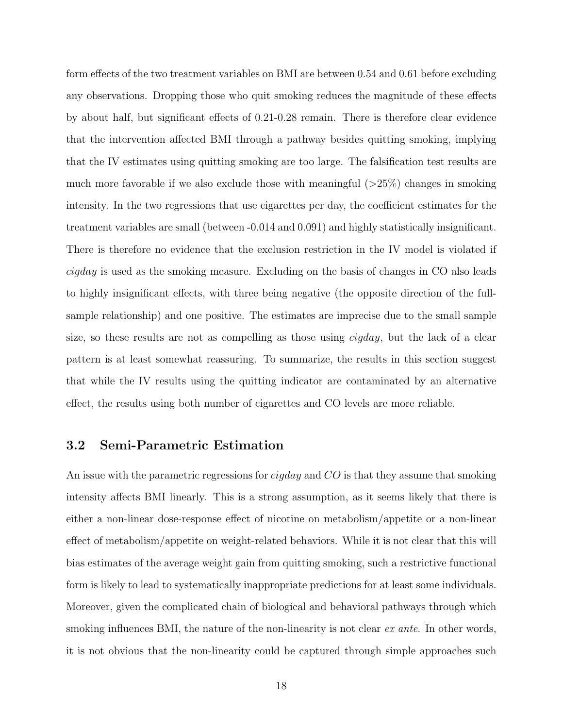form effects of the two treatment variables on BMI are between 0.54 and 0.61 before excluding any observations. Dropping those who quit smoking reduces the magnitude of these effects by about half, but significant effects of 0.21-0.28 remain. There is therefore clear evidence that the intervention affected BMI through a pathway besides quitting smoking, implying that the IV estimates using quitting smoking are too large. The falsification test results are much more favorable if we also exclude those with meaningful  $(>25\%)$  changes in smoking intensity. In the two regressions that use cigarettes per day, the coefficient estimates for the treatment variables are small (between -0.014 and 0.091) and highly statistically insignificant. There is therefore no evidence that the exclusion restriction in the IV model is violated if cigday is used as the smoking measure. Excluding on the basis of changes in CO also leads to highly insignificant effects, with three being negative (the opposite direction of the fullsample relationship) and one positive. The estimates are imprecise due to the small sample size, so these results are not as compelling as those using *cigday*, but the lack of a clear pattern is at least somewhat reassuring. To summarize, the results in this section suggest that while the IV results using the quitting indicator are contaminated by an alternative effect, the results using both number of cigarettes and CO levels are more reliable.

### 3.2 Semi-Parametric Estimation

An issue with the parametric regressions for *cigday* and CO is that they assume that smoking intensity affects BMI linearly. This is a strong assumption, as it seems likely that there is either a non-linear dose-response effect of nicotine on metabolism/appetite or a non-linear effect of metabolism/appetite on weight-related behaviors. While it is not clear that this will bias estimates of the average weight gain from quitting smoking, such a restrictive functional form is likely to lead to systematically inappropriate predictions for at least some individuals. Moreover, given the complicated chain of biological and behavioral pathways through which smoking influences BMI, the nature of the non-linearity is not clear ex ante. In other words, it is not obvious that the non-linearity could be captured through simple approaches such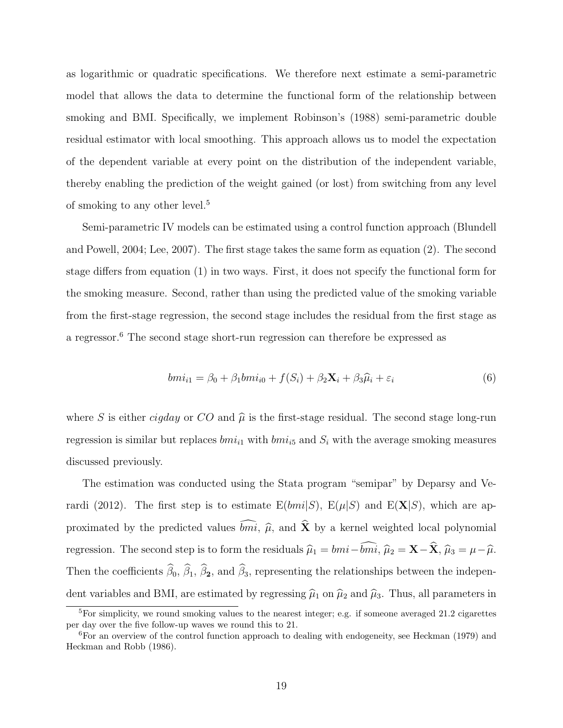as logarithmic or quadratic specifications. We therefore next estimate a semi-parametric model that allows the data to determine the functional form of the relationship between smoking and BMI. Specifically, we implement Robinson's (1988) semi-parametric double residual estimator with local smoothing. This approach allows us to model the expectation of the dependent variable at every point on the distribution of the independent variable, thereby enabling the prediction of the weight gained (or lost) from switching from any level of smoking to any other level.<sup>5</sup>

Semi-parametric IV models can be estimated using a control function approach (Blundell and Powell, 2004; Lee, 2007). The first stage takes the same form as equation (2). The second stage differs from equation (1) in two ways. First, it does not specify the functional form for the smoking measure. Second, rather than using the predicted value of the smoking variable from the first-stage regression, the second stage includes the residual from the first stage as a regressor.<sup>6</sup> The second stage short-run regression can therefore be expressed as

$$
bmi_{i1} = \beta_0 + \beta_1 bmi_{i0} + f(S_i) + \beta_2 \mathbf{X}_i + \beta_3 \widehat{\mu}_i + \varepsilon_i
$$
\n(6)

where S is either *cigday* or CO and  $\hat{\mu}$  is the first-stage residual. The second stage long-run regression is similar but replaces  $bmi_{i1}$  with  $bmi_{i5}$  and  $S_i$  with the average smoking measures discussed previously.

The estimation was conducted using the Stata program "semipar" by Deparsy and Verardi (2012). The first step is to estimate  $E(bmi|S)$ ,  $E(\mu|S)$  and  $E(\mathbf{X}|S)$ , which are approximated by the predicted values  $\widehat{bmi}$ ,  $\widehat{\mu}$ , and  $\widehat{\mathbf{X}}$  by a kernel weighted local polynomial regression. The second step is to form the residuals  $\hat{\mu}_1 = bmi - \widehat{bmi}$ ,  $\hat{\mu}_2 = \mathbf{X} - \hat{\mathbf{X}}$ ,  $\hat{\mu}_3 = \mu - \hat{\mu}$ . Then the coefficients  $\hat{\beta}_0$ ,  $\hat{\beta}_1$ ,  $\hat{\beta}_2$ , and  $\hat{\beta}_3$ , representing the relationships between the independent variables and BMI, are estimated by regressing  $\hat{\mu}_1$  on  $\hat{\mu}_2$  and  $\hat{\mu}_3$ . Thus, all parameters in

<sup>5</sup>For simplicity, we round smoking values to the nearest integer; e.g. if someone averaged 21.2 cigarettes per day over the five follow-up waves we round this to 21.

<sup>&</sup>lt;sup>6</sup>For an overview of the control function approach to dealing with endogeneity, see Heckman (1979) and Heckman and Robb (1986).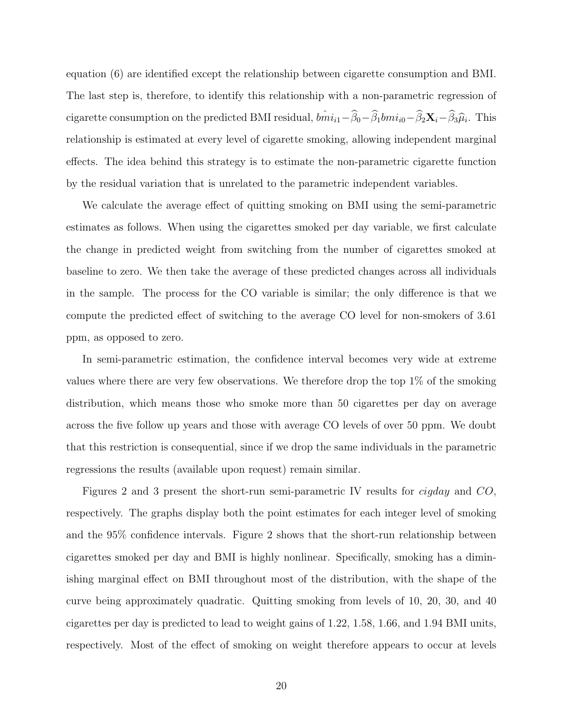equation (6) are identified except the relationship between cigarette consumption and BMI. The last step is, therefore, to identify this relationship with a non-parametric regression of cigarette consumption on the predicted BMI residual,  $b\hat{m}i_{i1}-\hat{\beta}_0-\hat{\beta}_1bmi_{i0}-\hat{\beta}_2\mathbf{X}_i-\hat{\beta}_3\hat{\mu}_i$ . This relationship is estimated at every level of cigarette smoking, allowing independent marginal effects. The idea behind this strategy is to estimate the non-parametric cigarette function by the residual variation that is unrelated to the parametric independent variables.

We calculate the average effect of quitting smoking on BMI using the semi-parametric estimates as follows. When using the cigarettes smoked per day variable, we first calculate the change in predicted weight from switching from the number of cigarettes smoked at baseline to zero. We then take the average of these predicted changes across all individuals in the sample. The process for the CO variable is similar; the only difference is that we compute the predicted effect of switching to the average CO level for non-smokers of 3.61 ppm, as opposed to zero.

In semi-parametric estimation, the confidence interval becomes very wide at extreme values where there are very few observations. We therefore drop the top 1% of the smoking distribution, which means those who smoke more than 50 cigarettes per day on average across the five follow up years and those with average CO levels of over 50 ppm. We doubt that this restriction is consequential, since if we drop the same individuals in the parametric regressions the results (available upon request) remain similar.

Figures 2 and 3 present the short-run semi-parametric IV results for *cigday* and CO, respectively. The graphs display both the point estimates for each integer level of smoking and the 95% confidence intervals. Figure 2 shows that the short-run relationship between cigarettes smoked per day and BMI is highly nonlinear. Specifically, smoking has a diminishing marginal effect on BMI throughout most of the distribution, with the shape of the curve being approximately quadratic. Quitting smoking from levels of 10, 20, 30, and 40 cigarettes per day is predicted to lead to weight gains of 1.22, 1.58, 1.66, and 1.94 BMI units, respectively. Most of the effect of smoking on weight therefore appears to occur at levels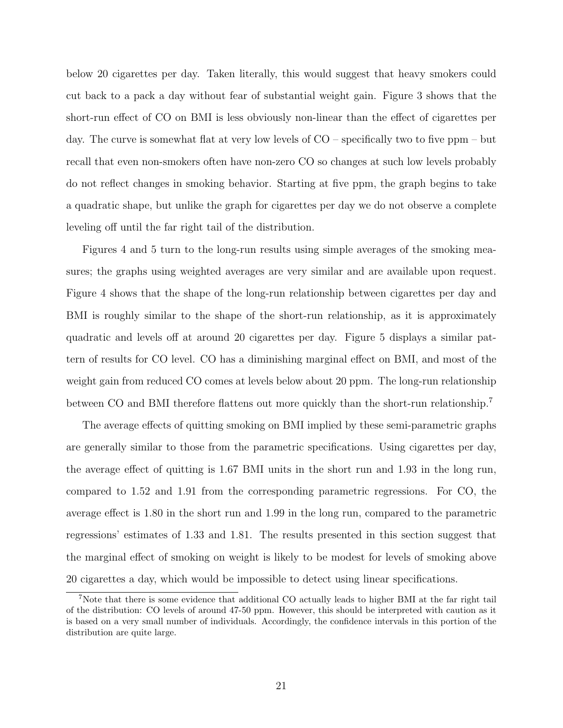below 20 cigarettes per day. Taken literally, this would suggest that heavy smokers could cut back to a pack a day without fear of substantial weight gain. Figure 3 shows that the short-run effect of CO on BMI is less obviously non-linear than the effect of cigarettes per day. The curve is somewhat flat at very low levels of CO – specifically two to five ppm – but recall that even non-smokers often have non-zero CO so changes at such low levels probably do not reflect changes in smoking behavior. Starting at five ppm, the graph begins to take a quadratic shape, but unlike the graph for cigarettes per day we do not observe a complete leveling off until the far right tail of the distribution.

Figures 4 and 5 turn to the long-run results using simple averages of the smoking measures; the graphs using weighted averages are very similar and are available upon request. Figure 4 shows that the shape of the long-run relationship between cigarettes per day and BMI is roughly similar to the shape of the short-run relationship, as it is approximately quadratic and levels off at around 20 cigarettes per day. Figure 5 displays a similar pattern of results for CO level. CO has a diminishing marginal effect on BMI, and most of the weight gain from reduced CO comes at levels below about 20 ppm. The long-run relationship between CO and BMI therefore flattens out more quickly than the short-run relationship.<sup>7</sup>

The average effects of quitting smoking on BMI implied by these semi-parametric graphs are generally similar to those from the parametric specifications. Using cigarettes per day, the average effect of quitting is 1.67 BMI units in the short run and 1.93 in the long run, compared to 1.52 and 1.91 from the corresponding parametric regressions. For CO, the average effect is 1.80 in the short run and 1.99 in the long run, compared to the parametric regressions' estimates of 1.33 and 1.81. The results presented in this section suggest that the marginal effect of smoking on weight is likely to be modest for levels of smoking above 20 cigarettes a day, which would be impossible to detect using linear specifications.

<sup>7</sup>Note that there is some evidence that additional CO actually leads to higher BMI at the far right tail of the distribution: CO levels of around 47-50 ppm. However, this should be interpreted with caution as it is based on a very small number of individuals. Accordingly, the confidence intervals in this portion of the distribution are quite large.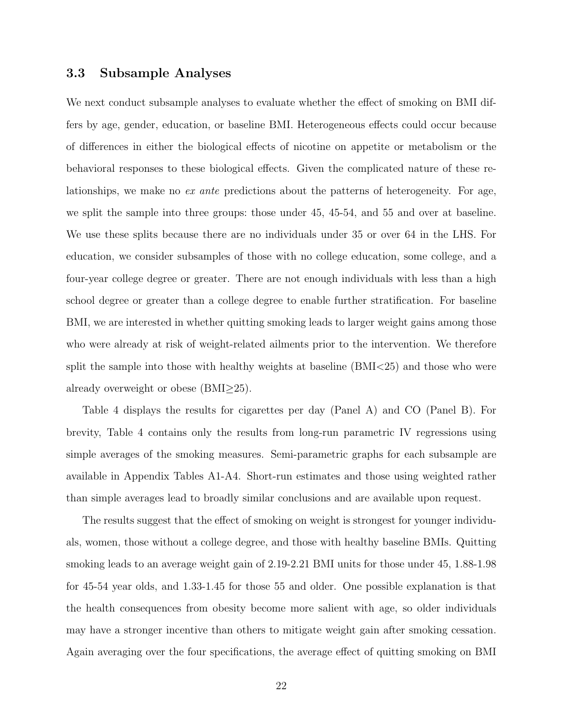### 3.3 Subsample Analyses

We next conduct subsample analyses to evaluate whether the effect of smoking on BMI differs by age, gender, education, or baseline BMI. Heterogeneous effects could occur because of differences in either the biological effects of nicotine on appetite or metabolism or the behavioral responses to these biological effects. Given the complicated nature of these relationships, we make no ex ante predictions about the patterns of heterogeneity. For age, we split the sample into three groups: those under 45, 45-54, and 55 and over at baseline. We use these splits because there are no individuals under 35 or over 64 in the LHS. For education, we consider subsamples of those with no college education, some college, and a four-year college degree or greater. There are not enough individuals with less than a high school degree or greater than a college degree to enable further stratification. For baseline BMI, we are interested in whether quitting smoking leads to larger weight gains among those who were already at risk of weight-related ailments prior to the intervention. We therefore split the sample into those with healthy weights at baseline  $(BMI<25)$  and those who were already overweight or obese  $(BMI \geq 25)$ .

Table 4 displays the results for cigarettes per day (Panel A) and CO (Panel B). For brevity, Table 4 contains only the results from long-run parametric IV regressions using simple averages of the smoking measures. Semi-parametric graphs for each subsample are available in Appendix Tables A1-A4. Short-run estimates and those using weighted rather than simple averages lead to broadly similar conclusions and are available upon request.

The results suggest that the effect of smoking on weight is strongest for younger individuals, women, those without a college degree, and those with healthy baseline BMIs. Quitting smoking leads to an average weight gain of 2.19-2.21 BMI units for those under 45, 1.88-1.98 for 45-54 year olds, and 1.33-1.45 for those 55 and older. One possible explanation is that the health consequences from obesity become more salient with age, so older individuals may have a stronger incentive than others to mitigate weight gain after smoking cessation. Again averaging over the four specifications, the average effect of quitting smoking on BMI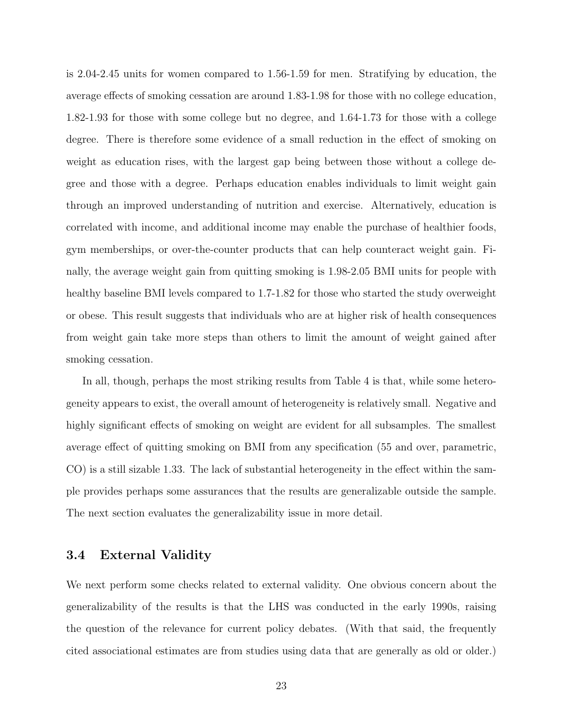is 2.04-2.45 units for women compared to 1.56-1.59 for men. Stratifying by education, the average effects of smoking cessation are around 1.83-1.98 for those with no college education, 1.82-1.93 for those with some college but no degree, and 1.64-1.73 for those with a college degree. There is therefore some evidence of a small reduction in the effect of smoking on weight as education rises, with the largest gap being between those without a college degree and those with a degree. Perhaps education enables individuals to limit weight gain through an improved understanding of nutrition and exercise. Alternatively, education is correlated with income, and additional income may enable the purchase of healthier foods, gym memberships, or over-the-counter products that can help counteract weight gain. Finally, the average weight gain from quitting smoking is 1.98-2.05 BMI units for people with healthy baseline BMI levels compared to 1.7-1.82 for those who started the study overweight or obese. This result suggests that individuals who are at higher risk of health consequences from weight gain take more steps than others to limit the amount of weight gained after smoking cessation.

In all, though, perhaps the most striking results from Table 4 is that, while some heterogeneity appears to exist, the overall amount of heterogeneity is relatively small. Negative and highly significant effects of smoking on weight are evident for all subsamples. The smallest average effect of quitting smoking on BMI from any specification (55 and over, parametric, CO) is a still sizable 1.33. The lack of substantial heterogeneity in the effect within the sample provides perhaps some assurances that the results are generalizable outside the sample. The next section evaluates the generalizability issue in more detail.

#### 3.4 External Validity

We next perform some checks related to external validity. One obvious concern about the generalizability of the results is that the LHS was conducted in the early 1990s, raising the question of the relevance for current policy debates. (With that said, the frequently cited associational estimates are from studies using data that are generally as old or older.)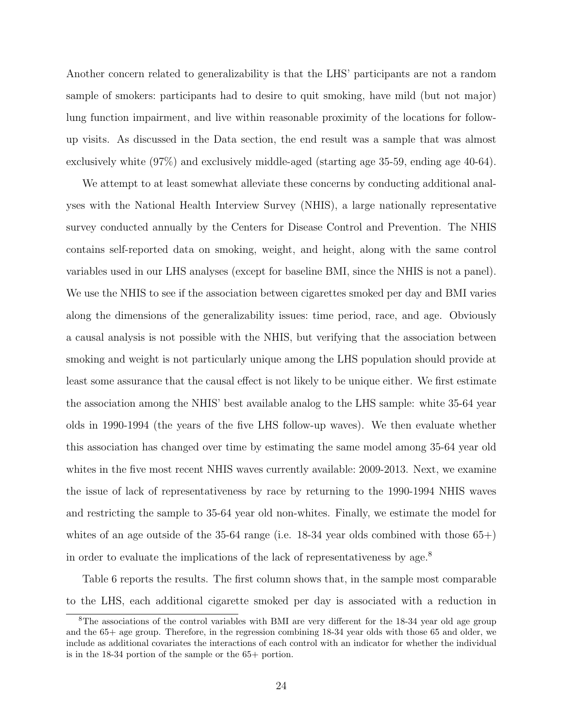Another concern related to generalizability is that the LHS' participants are not a random sample of smokers: participants had to desire to quit smoking, have mild (but not major) lung function impairment, and live within reasonable proximity of the locations for followup visits. As discussed in the Data section, the end result was a sample that was almost exclusively white (97%) and exclusively middle-aged (starting age 35-59, ending age 40-64).

We attempt to at least somewhat alleviate these concerns by conducting additional analyses with the National Health Interview Survey (NHIS), a large nationally representative survey conducted annually by the Centers for Disease Control and Prevention. The NHIS contains self-reported data on smoking, weight, and height, along with the same control variables used in our LHS analyses (except for baseline BMI, since the NHIS is not a panel). We use the NHIS to see if the association between cigarettes smoked per day and BMI varies along the dimensions of the generalizability issues: time period, race, and age. Obviously a causal analysis is not possible with the NHIS, but verifying that the association between smoking and weight is not particularly unique among the LHS population should provide at least some assurance that the causal effect is not likely to be unique either. We first estimate the association among the NHIS' best available analog to the LHS sample: white 35-64 year olds in 1990-1994 (the years of the five LHS follow-up waves). We then evaluate whether this association has changed over time by estimating the same model among 35-64 year old whites in the five most recent NHIS waves currently available: 2009-2013. Next, we examine the issue of lack of representativeness by race by returning to the 1990-1994 NHIS waves and restricting the sample to 35-64 year old non-whites. Finally, we estimate the model for whites of an age outside of the 35-64 range (i.e. 18-34 year olds combined with those 65+) in order to evaluate the implications of the lack of representativeness by age.<sup>8</sup>

Table 6 reports the results. The first column shows that, in the sample most comparable to the LHS, each additional cigarette smoked per day is associated with a reduction in

<sup>8</sup>The associations of the control variables with BMI are very different for the 18-34 year old age group and the 65+ age group. Therefore, in the regression combining 18-34 year olds with those 65 and older, we include as additional covariates the interactions of each control with an indicator for whether the individual is in the 18-34 portion of the sample or the 65+ portion.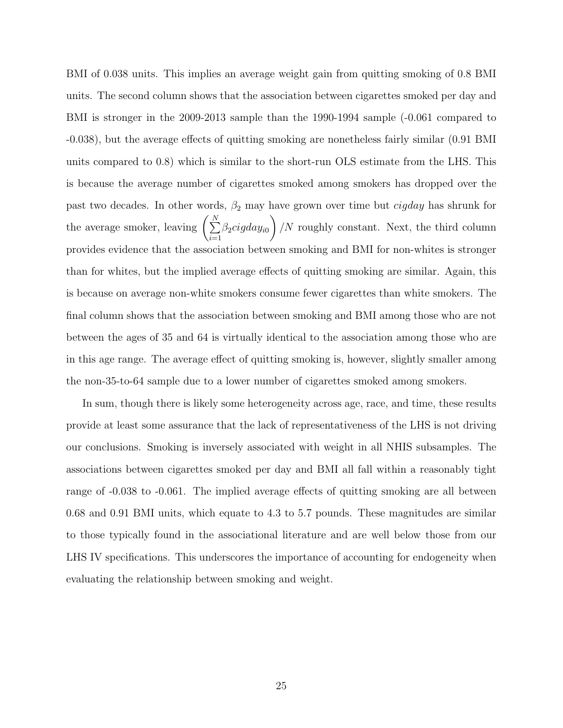BMI of 0.038 units. This implies an average weight gain from quitting smoking of 0.8 BMI units. The second column shows that the association between cigarettes smoked per day and BMI is stronger in the 2009-2013 sample than the 1990-1994 sample (-0.061 compared to -0.038), but the average effects of quitting smoking are nonetheless fairly similar (0.91 BMI units compared to 0.8) which is similar to the short-run OLS estimate from the LHS. This is because the average number of cigarettes smoked among smokers has dropped over the past two decades. In other words,  $\beta_2$  may have grown over time but *cigday* has shrunk for the average smoker, leaving  $\left(\sum_{i=1}^{N} A_i\right)^2$  $i=1$  $\beta_2$ cigday<sub>i0</sub>  $\setminus$  $/N$  roughly constant. Next, the third column provides evidence that the association between smoking and BMI for non-whites is stronger than for whites, but the implied average effects of quitting smoking are similar. Again, this is because on average non-white smokers consume fewer cigarettes than white smokers. The final column shows that the association between smoking and BMI among those who are not between the ages of 35 and 64 is virtually identical to the association among those who are in this age range. The average effect of quitting smoking is, however, slightly smaller among the non-35-to-64 sample due to a lower number of cigarettes smoked among smokers.

In sum, though there is likely some heterogeneity across age, race, and time, these results provide at least some assurance that the lack of representativeness of the LHS is not driving our conclusions. Smoking is inversely associated with weight in all NHIS subsamples. The associations between cigarettes smoked per day and BMI all fall within a reasonably tight range of -0.038 to -0.061. The implied average effects of quitting smoking are all between 0.68 and 0.91 BMI units, which equate to 4.3 to 5.7 pounds. These magnitudes are similar to those typically found in the associational literature and are well below those from our LHS IV specifications. This underscores the importance of accounting for endogeneity when evaluating the relationship between smoking and weight.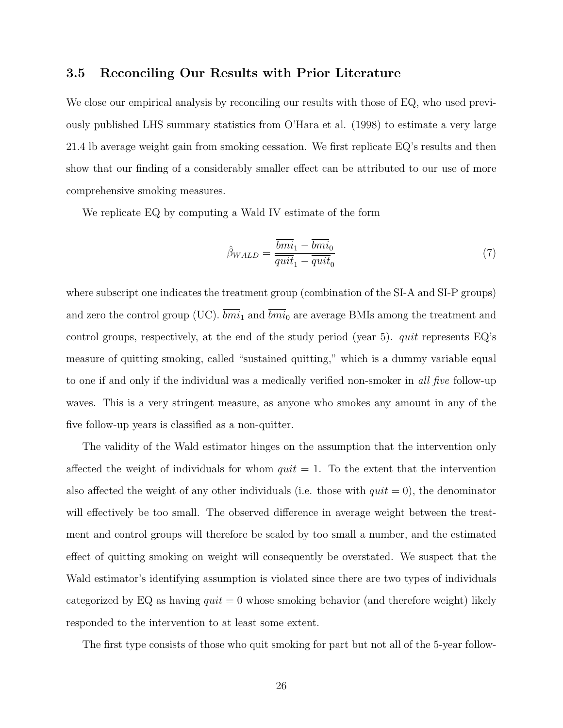### 3.5 Reconciling Our Results with Prior Literature

We close our empirical analysis by reconciling our results with those of EQ, who used previously published LHS summary statistics from O'Hara et al. (1998) to estimate a very large 21.4 lb average weight gain from smoking cessation. We first replicate EQ's results and then show that our finding of a considerably smaller effect can be attributed to our use of more comprehensive smoking measures.

We replicate EQ by computing a Wald IV estimate of the form

$$
\hat{\beta}_{WALD} = \frac{\overline{bmi}_1 - \overline{bmi}_0}{\overline{qui}\overline{t}_1 - \overline{qui}\overline{t}_0} \tag{7}
$$

where subscript one indicates the treatment group (combination of the SI-A and SI-P groups) and zero the control group (UC).  $\overline{bmi_1}$  and  $\overline{bmi_0}$  are average BMIs among the treatment and control groups, respectively, at the end of the study period (year 5). *quit* represents  $EQ$ 's measure of quitting smoking, called "sustained quitting," which is a dummy variable equal to one if and only if the individual was a medically verified non-smoker in all five follow-up waves. This is a very stringent measure, as anyone who smokes any amount in any of the five follow-up years is classified as a non-quitter.

The validity of the Wald estimator hinges on the assumption that the intervention only affected the weight of individuals for whom  $quit = 1$ . To the extent that the intervention also affected the weight of any other individuals (i.e. those with  $quit = 0)$ , the denominator will effectively be too small. The observed difference in average weight between the treatment and control groups will therefore be scaled by too small a number, and the estimated effect of quitting smoking on weight will consequently be overstated. We suspect that the Wald estimator's identifying assumption is violated since there are two types of individuals categorized by EQ as having  $quit = 0$  whose smoking behavior (and therefore weight) likely responded to the intervention to at least some extent.

The first type consists of those who quit smoking for part but not all of the 5-year follow-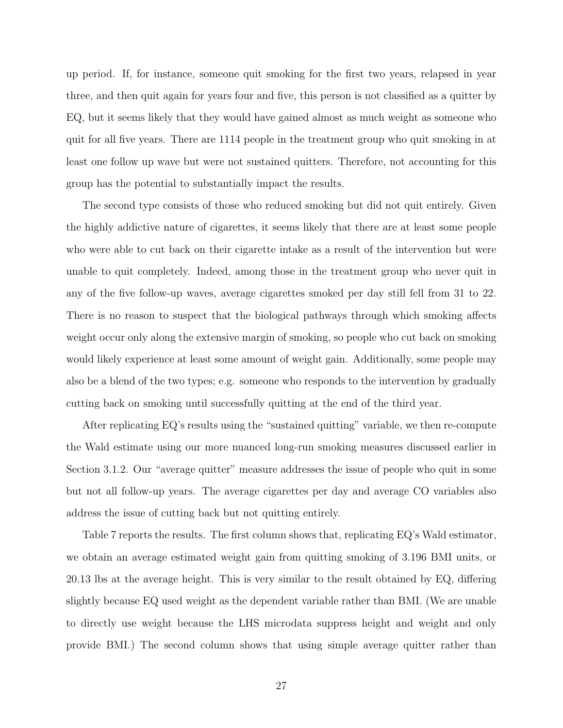up period. If, for instance, someone quit smoking for the first two years, relapsed in year three, and then quit again for years four and five, this person is not classified as a quitter by EQ, but it seems likely that they would have gained almost as much weight as someone who quit for all five years. There are 1114 people in the treatment group who quit smoking in at least one follow up wave but were not sustained quitters. Therefore, not accounting for this group has the potential to substantially impact the results.

The second type consists of those who reduced smoking but did not quit entirely. Given the highly addictive nature of cigarettes, it seems likely that there are at least some people who were able to cut back on their cigarette intake as a result of the intervention but were unable to quit completely. Indeed, among those in the treatment group who never quit in any of the five follow-up waves, average cigarettes smoked per day still fell from 31 to 22. There is no reason to suspect that the biological pathways through which smoking affects weight occur only along the extensive margin of smoking, so people who cut back on smoking would likely experience at least some amount of weight gain. Additionally, some people may also be a blend of the two types; e.g. someone who responds to the intervention by gradually cutting back on smoking until successfully quitting at the end of the third year.

After replicating EQ's results using the "sustained quitting" variable, we then re-compute the Wald estimate using our more nuanced long-run smoking measures discussed earlier in Section 3.1.2. Our "average quitter" measure addresses the issue of people who quit in some but not all follow-up years. The average cigarettes per day and average CO variables also address the issue of cutting back but not quitting entirely.

Table 7 reports the results. The first column shows that, replicating EQ's Wald estimator, we obtain an average estimated weight gain from quitting smoking of 3.196 BMI units, or 20.13 lbs at the average height. This is very similar to the result obtained by EQ, differing slightly because EQ used weight as the dependent variable rather than BMI. (We are unable to directly use weight because the LHS microdata suppress height and weight and only provide BMI.) The second column shows that using simple average quitter rather than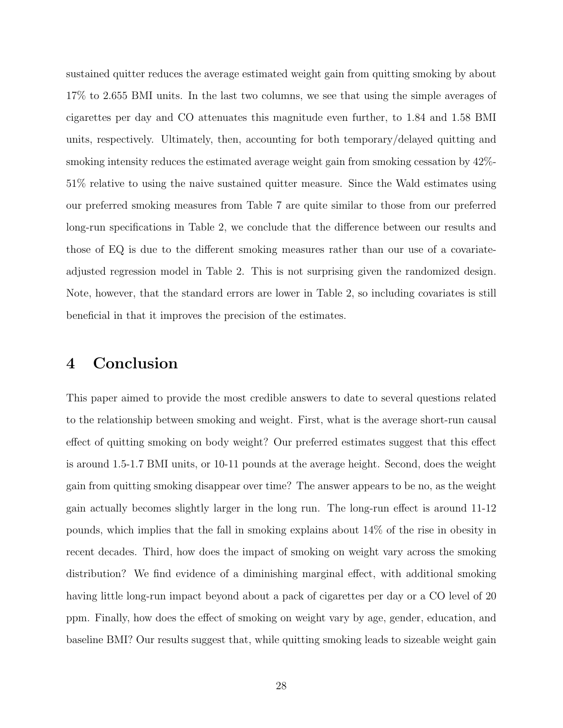sustained quitter reduces the average estimated weight gain from quitting smoking by about 17% to 2.655 BMI units. In the last two columns, we see that using the simple averages of cigarettes per day and CO attenuates this magnitude even further, to 1.84 and 1.58 BMI units, respectively. Ultimately, then, accounting for both temporary/delayed quitting and smoking intensity reduces the estimated average weight gain from smoking cessation by 42%- 51% relative to using the naive sustained quitter measure. Since the Wald estimates using our preferred smoking measures from Table 7 are quite similar to those from our preferred long-run specifications in Table 2, we conclude that the difference between our results and those of EQ is due to the different smoking measures rather than our use of a covariateadjusted regression model in Table 2. This is not surprising given the randomized design. Note, however, that the standard errors are lower in Table 2, so including covariates is still beneficial in that it improves the precision of the estimates.

# 4 Conclusion

This paper aimed to provide the most credible answers to date to several questions related to the relationship between smoking and weight. First, what is the average short-run causal effect of quitting smoking on body weight? Our preferred estimates suggest that this effect is around 1.5-1.7 BMI units, or 10-11 pounds at the average height. Second, does the weight gain from quitting smoking disappear over time? The answer appears to be no, as the weight gain actually becomes slightly larger in the long run. The long-run effect is around 11-12 pounds, which implies that the fall in smoking explains about 14% of the rise in obesity in recent decades. Third, how does the impact of smoking on weight vary across the smoking distribution? We find evidence of a diminishing marginal effect, with additional smoking having little long-run impact beyond about a pack of cigarettes per day or a CO level of 20 ppm. Finally, how does the effect of smoking on weight vary by age, gender, education, and baseline BMI? Our results suggest that, while quitting smoking leads to sizeable weight gain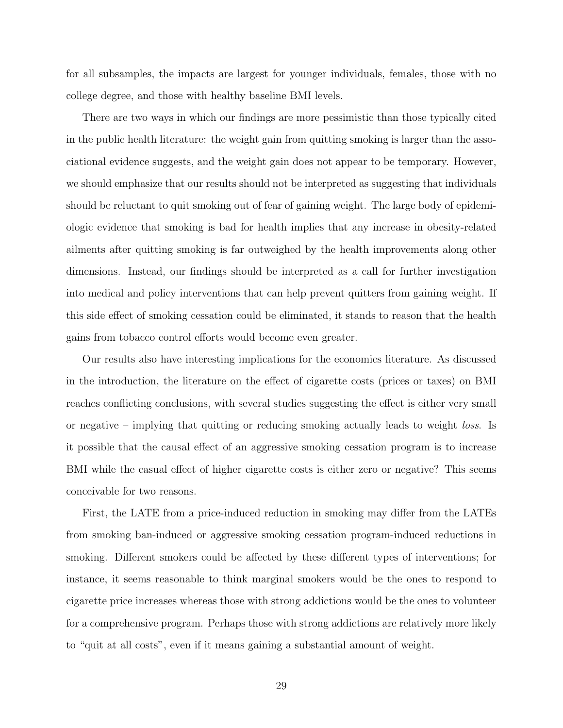for all subsamples, the impacts are largest for younger individuals, females, those with no college degree, and those with healthy baseline BMI levels.

There are two ways in which our findings are more pessimistic than those typically cited in the public health literature: the weight gain from quitting smoking is larger than the associational evidence suggests, and the weight gain does not appear to be temporary. However, we should emphasize that our results should not be interpreted as suggesting that individuals should be reluctant to quit smoking out of fear of gaining weight. The large body of epidemiologic evidence that smoking is bad for health implies that any increase in obesity-related ailments after quitting smoking is far outweighed by the health improvements along other dimensions. Instead, our findings should be interpreted as a call for further investigation into medical and policy interventions that can help prevent quitters from gaining weight. If this side effect of smoking cessation could be eliminated, it stands to reason that the health gains from tobacco control efforts would become even greater.

Our results also have interesting implications for the economics literature. As discussed in the introduction, the literature on the effect of cigarette costs (prices or taxes) on BMI reaches conflicting conclusions, with several studies suggesting the effect is either very small or negative – implying that quitting or reducing smoking actually leads to weight loss. Is it possible that the causal effect of an aggressive smoking cessation program is to increase BMI while the casual effect of higher cigarette costs is either zero or negative? This seems conceivable for two reasons.

First, the LATE from a price-induced reduction in smoking may differ from the LATEs from smoking ban-induced or aggressive smoking cessation program-induced reductions in smoking. Different smokers could be affected by these different types of interventions; for instance, it seems reasonable to think marginal smokers would be the ones to respond to cigarette price increases whereas those with strong addictions would be the ones to volunteer for a comprehensive program. Perhaps those with strong addictions are relatively more likely to "quit at all costs", even if it means gaining a substantial amount of weight.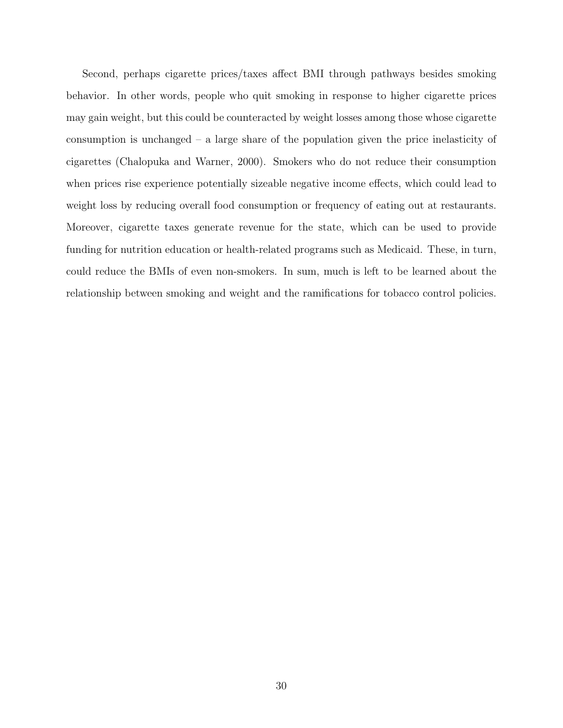Second, perhaps cigarette prices/taxes affect BMI through pathways besides smoking behavior. In other words, people who quit smoking in response to higher cigarette prices may gain weight, but this could be counteracted by weight losses among those whose cigarette consumption is unchanged – a large share of the population given the price inelasticity of cigarettes (Chalopuka and Warner, 2000). Smokers who do not reduce their consumption when prices rise experience potentially sizeable negative income effects, which could lead to weight loss by reducing overall food consumption or frequency of eating out at restaurants. Moreover, cigarette taxes generate revenue for the state, which can be used to provide funding for nutrition education or health-related programs such as Medicaid. These, in turn, could reduce the BMIs of even non-smokers. In sum, much is left to be learned about the relationship between smoking and weight and the ramifications for tobacco control policies.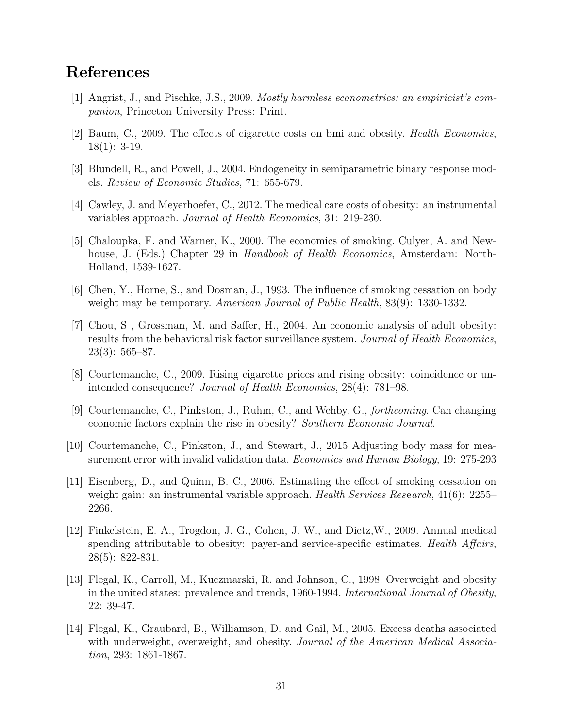# References

- [1] Angrist, J., and Pischke, J.S., 2009. Mostly harmless econometrics: an empiricist's companion, Princeton University Press: Print.
- [2] Baum, C., 2009. The effects of cigarette costs on bmi and obesity. Health Economics,  $18(1): 3-19.$
- [3] Blundell, R., and Powell, J., 2004. Endogeneity in semiparametric binary response models. Review of Economic Studies, 71: 655-679.
- [4] Cawley, J. and Meyerhoefer, C., 2012. The medical care costs of obesity: an instrumental variables approach. Journal of Health Economics, 31: 219-230.
- [5] Chaloupka, F. and Warner, K., 2000. The economics of smoking. Culyer, A. and Newhouse, J. (Eds.) Chapter 29 in *Handbook of Health Economics*, Amsterdam: North-Holland, 1539-1627.
- [6] Chen, Y., Horne, S., and Dosman, J., 1993. The influence of smoking cessation on body weight may be temporary. American Journal of Public Health, 83(9): 1330-1332.
- [7] Chou, S , Grossman, M. and Saffer, H., 2004. An economic analysis of adult obesity: results from the behavioral risk factor surveillance system. Journal of Health Economics, 23(3): 565–87.
- [8] Courtemanche, C., 2009. Rising cigarette prices and rising obesity: coincidence or unintended consequence? Journal of Health Economics, 28(4): 781–98.
- [9] Courtemanche, C., Pinkston, J., Ruhm, C., and Wehby, G., forthcoming. Can changing economic factors explain the rise in obesity? Southern Economic Journal.
- [10] Courtemanche, C., Pinkston, J., and Stewart, J., 2015 Adjusting body mass for measurement error with invalid validation data. *Economics and Human Biology*, 19: 275-293
- [11] Eisenberg, D., and Quinn, B. C., 2006. Estimating the effect of smoking cessation on weight gain: an instrumental variable approach. *Health Services Research*, 41(6): 2255– 2266.
- [12] Finkelstein, E. A., Trogdon, J. G., Cohen, J. W., and Dietz,W., 2009. Annual medical spending attributable to obesity: payer-and service-specific estimates. Health Affairs, 28(5): 822-831.
- [13] Flegal, K., Carroll, M., Kuczmarski, R. and Johnson, C., 1998. Overweight and obesity in the united states: prevalence and trends, 1960-1994. International Journal of Obesity, 22: 39-47.
- [14] Flegal, K., Graubard, B., Williamson, D. and Gail, M., 2005. Excess deaths associated with underweight, overweight, and obesity. Journal of the American Medical Association, 293: 1861-1867.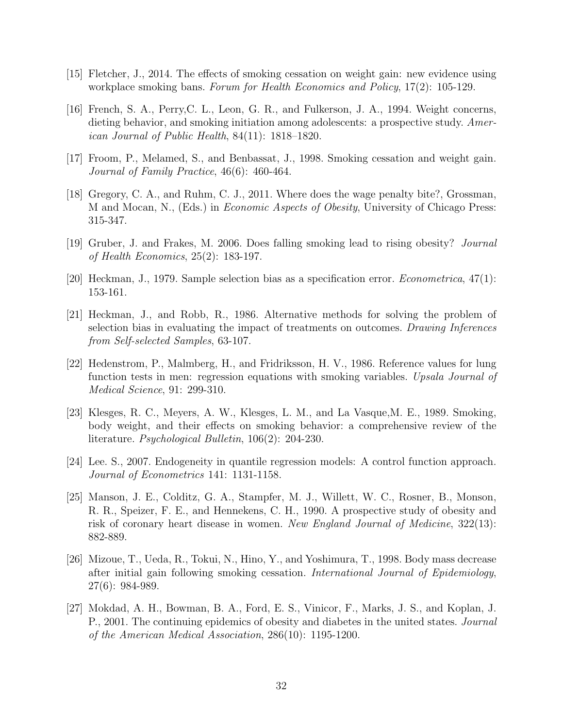- [15] Fletcher, J., 2014. The effects of smoking cessation on weight gain: new evidence using workplace smoking bans. Forum for Health Economics and Policy, 17(2): 105-129.
- [16] French, S. A., Perry,C. L., Leon, G. R., and Fulkerson, J. A., 1994. Weight concerns, dieting behavior, and smoking initiation among adolescents: a prospective study. American Journal of Public Health, 84(11): 1818–1820.
- [17] Froom, P., Melamed, S., and Benbassat, J., 1998. Smoking cessation and weight gain. Journal of Family Practice, 46(6): 460-464.
- [18] Gregory, C. A., and Ruhm, C. J., 2011. Where does the wage penalty bite?, Grossman, M and Mocan, N., (Eds.) in Economic Aspects of Obesity, University of Chicago Press: 315-347.
- [19] Gruber, J. and Frakes, M. 2006. Does falling smoking lead to rising obesity? Journal of Health Economics, 25(2): 183-197.
- [20] Heckman, J., 1979. Sample selection bias as a specification error. Econometrica, 47(1): 153-161.
- [21] Heckman, J., and Robb, R., 1986. Alternative methods for solving the problem of selection bias in evaluating the impact of treatments on outcomes. Drawing Inferences from Self-selected Samples, 63-107.
- [22] Hedenstrom, P., Malmberg, H., and Fridriksson, H. V., 1986. Reference values for lung function tests in men: regression equations with smoking variables. Upsala Journal of Medical Science, 91: 299-310.
- [23] Klesges, R. C., Meyers, A. W., Klesges, L. M., and La Vasque,M. E., 1989. Smoking, body weight, and their effects on smoking behavior: a comprehensive review of the literature. Psychological Bulletin, 106(2): 204-230.
- [24] Lee. S., 2007. Endogeneity in quantile regression models: A control function approach. Journal of Econometrics 141: 1131-1158.
- [25] Manson, J. E., Colditz, G. A., Stampfer, M. J., Willett, W. C., Rosner, B., Monson, R. R., Speizer, F. E., and Hennekens, C. H., 1990. A prospective study of obesity and risk of coronary heart disease in women. New England Journal of Medicine, 322(13): 882-889.
- [26] Mizoue, T., Ueda, R., Tokui, N., Hino, Y., and Yoshimura, T., 1998. Body mass decrease after initial gain following smoking cessation. International Journal of Epidemiology, 27(6): 984-989.
- [27] Mokdad, A. H., Bowman, B. A., Ford, E. S., Vinicor, F., Marks, J. S., and Koplan, J. P., 2001. The continuing epidemics of obesity and diabetes in the united states. *Journal* of the American Medical Association, 286(10): 1195-1200.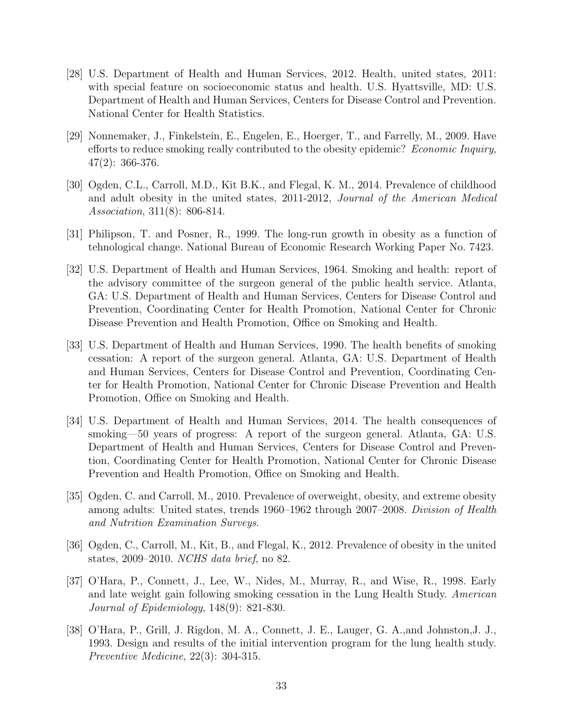- [28] U.S. Department of Health and Human Services, 2012. Health, united states, 2011: with special feature on socioeconomic status and health. U.S. Hyattsville, MD: U.S. Department of Health and Human Services, Centers for Disease Control and Prevention. National Center for Health Statistics.
- [29] Nonnemaker, J., Finkelstein, E., Engelen, E., Hoerger, T., and Farrelly, M., 2009. Have efforts to reduce smoking really contributed to the obesity epidemic? Economic Inquiry, 47(2): 366-376.
- [30] Ogden, C.L., Carroll, M.D., Kit B.K., and Flegal, K. M., 2014. Prevalence of childhood and adult obesity in the united states, 2011-2012, Journal of the American Medical Association, 311(8): 806-814.
- [31] Philipson, T. and Posner, R., 1999. The long-run growth in obesity as a function of tehnological change. National Bureau of Economic Research Working Paper No. 7423.
- [32] U.S. Department of Health and Human Services, 1964. Smoking and health: report of the advisory committee of the surgeon general of the public health service. Atlanta, GA: U.S. Department of Health and Human Services, Centers for Disease Control and Prevention, Coordinating Center for Health Promotion, National Center for Chronic Disease Prevention and Health Promotion, Office on Smoking and Health.
- [33] U.S. Department of Health and Human Services, 1990. The health benefits of smoking cessation: A report of the surgeon general. Atlanta, GA: U.S. Department of Health and Human Services, Centers for Disease Control and Prevention, Coordinating Center for Health Promotion, National Center for Chronic Disease Prevention and Health Promotion, Office on Smoking and Health.
- [34] U.S. Department of Health and Human Services, 2014. The health consequences of smoking—50 years of progress: A report of the surgeon general. Atlanta, GA: U.S. Department of Health and Human Services, Centers for Disease Control and Prevention, Coordinating Center for Health Promotion, National Center for Chronic Disease Prevention and Health Promotion, Office on Smoking and Health.
- [35] Ogden, C. and Carroll, M., 2010. Prevalence of overweight, obesity, and extreme obesity among adults: United states, trends 1960–1962 through 2007–2008. Division of Health and Nutrition Examination Surveys.
- [36] Ogden, C., Carroll, M., Kit, B., and Flegal, K., 2012. Prevalence of obesity in the united states, 2009–2010. NCHS data brief, no 82.
- [37] O'Hara, P., Connett, J., Lee, W., Nides, M., Murray, R., and Wise, R., 1998. Early and late weight gain following smoking cessation in the Lung Health Study. American Journal of Epidemiology, 148(9): 821-830.
- [38] O'Hara, P., Grill, J. Rigdon, M. A., Connett, J. E., Lauger, G. A.,and Johnston,J. J., 1993. Design and results of the initial intervention program for the lung health study. Preventive Medicine, 22(3): 304-315.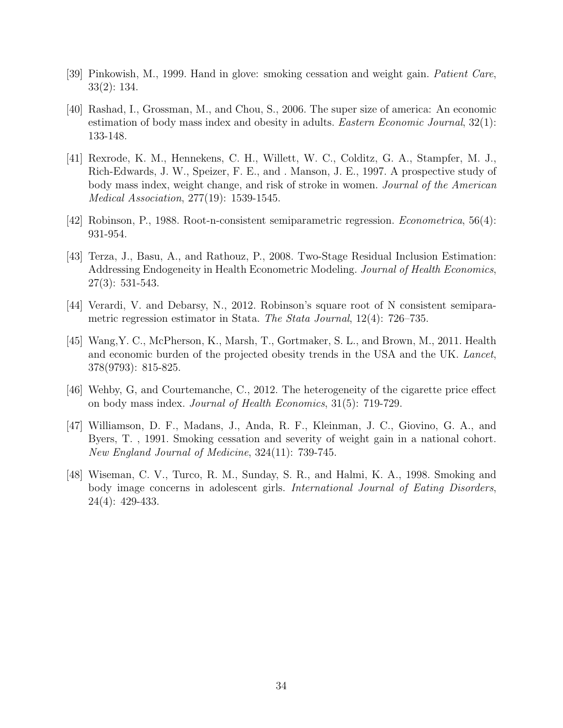- [39] Pinkowish, M., 1999. Hand in glove: smoking cessation and weight gain. Patient Care, 33(2): 134.
- [40] Rashad, I., Grossman, M., and Chou, S., 2006. The super size of america: An economic estimation of body mass index and obesity in adults. *Eastern Economic Journal*, 32(1): 133-148.
- [41] Rexrode, K. M., Hennekens, C. H., Willett, W. C., Colditz, G. A., Stampfer, M. J., Rich-Edwards, J. W., Speizer, F. E., and . Manson, J. E., 1997. A prospective study of body mass index, weight change, and risk of stroke in women. Journal of the American Medical Association, 277(19): 1539-1545.
- [42] Robinson, P., 1988. Root-n-consistent semiparametric regression. Econometrica, 56(4): 931-954.
- [43] Terza, J., Basu, A., and Rathouz, P., 2008. Two-Stage Residual Inclusion Estimation: Addressing Endogeneity in Health Econometric Modeling. Journal of Health Economics, 27(3): 531-543.
- [44] Verardi, V. and Debarsy, N., 2012. Robinson's square root of N consistent semiparametric regression estimator in Stata. The Stata Journal, 12(4): 726–735.
- [45] Wang,Y. C., McPherson, K., Marsh, T., Gortmaker, S. L., and Brown, M., 2011. Health and economic burden of the projected obesity trends in the USA and the UK. Lancet, 378(9793): 815-825.
- [46] Wehby, G, and Courtemanche, C., 2012. The heterogeneity of the cigarette price effect on body mass index. Journal of Health Economics, 31(5): 719-729.
- [47] Williamson, D. F., Madans, J., Anda, R. F., Kleinman, J. C., Giovino, G. A., and Byers, T. , 1991. Smoking cessation and severity of weight gain in a national cohort. New England Journal of Medicine, 324(11): 739-745.
- [48] Wiseman, C. V., Turco, R. M., Sunday, S. R., and Halmi, K. A., 1998. Smoking and body image concerns in adolescent girls. *International Journal of Eating Disorders*, 24(4): 429-433.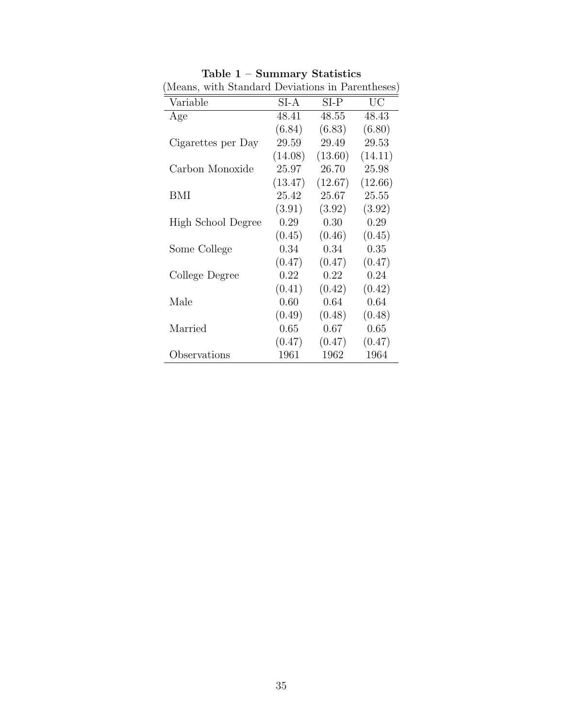| (Means, with Standard Deviations in Parentheses) |         |         |           |  |  |  |
|--------------------------------------------------|---------|---------|-----------|--|--|--|
| Variable                                         | $SI-A$  | $SI-P$  | <b>UC</b> |  |  |  |
| Age                                              | 48.41   | 48.55   | 48.43     |  |  |  |
|                                                  | (6.84)  | (6.83)  | (6.80)    |  |  |  |
| Cigarettes per Day                               | 29.59   | 29.49   | 29.53     |  |  |  |
|                                                  | (14.08) | (13.60) | (14.11)   |  |  |  |
| Carbon Monoxide                                  | 25.97   | 26.70   | 25.98     |  |  |  |
|                                                  | (13.47) | (12.67) | (12.66)   |  |  |  |
| BMI                                              | 25.42   | 25.67   | 25.55     |  |  |  |
|                                                  | (3.91)  | (3.92)  | (3.92)    |  |  |  |
| High School Degree                               | 0.29    | 0.30    | 0.29      |  |  |  |
|                                                  | (0.45)  | (0.46)  | (0.45)    |  |  |  |
| Some College                                     | 0.34    | 0.34    | 0.35      |  |  |  |
|                                                  | (0.47)  | (0.47)  | (0.47)    |  |  |  |
| College Degree                                   | 0.22    | 0.22    | 0.24      |  |  |  |
|                                                  | (0.41)  | (0.42)  | (0.42)    |  |  |  |
| Male                                             | 0.60    | 0.64    | 0.64      |  |  |  |
|                                                  | (0.49)  | (0.48)  | (0.48)    |  |  |  |
| Married                                          | 0.65    | 0.67    | 0.65      |  |  |  |
|                                                  | (0.47)  | (0.47)  | (0.47)    |  |  |  |
| Observations                                     | 1961    | 1962    | 1964      |  |  |  |

Table 1 – Summary Statistics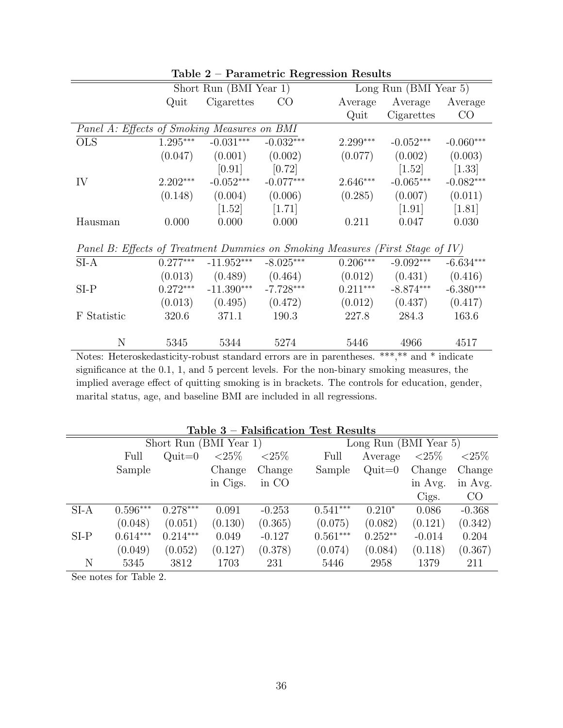|                                                                               | I di differente recept cooloni recognos |                     |             |            |                         |             |  |
|-------------------------------------------------------------------------------|-----------------------------------------|---------------------|-------------|------------|-------------------------|-------------|--|
|                                                                               | Short Run (BMI Year 1)                  |                     |             |            | Long Run $(BMI$ Year 5) |             |  |
|                                                                               | Quit                                    | Cigarettes          | CO          | Average    | Average                 | Average     |  |
|                                                                               |                                         |                     |             | Quit       | Cigarettes              | CO          |  |
| Panel A: Effects of Smoking Measures on BMI                                   |                                         |                     |             |            |                         |             |  |
| <b>OLS</b>                                                                    | $1.295***$                              | $-0.031***$         | $-0.032***$ | $2.299***$ | $-0.052***$             | $-0.060***$ |  |
|                                                                               | (0.047)                                 | (0.001)             | (0.002)     | (0.077)    | (0.002)                 | (0.003)     |  |
|                                                                               |                                         | [0.91]              | [0.72]      |            | $\left[1.52\right]$     | $[1.33]$    |  |
| IV                                                                            | $2.202***$                              | $-0.052***$         | $-0.077***$ | $2.646***$ | $-0.065***$             | $-0.082***$ |  |
|                                                                               | (0.148)                                 | (0.004)             | (0.006)     | (0.285)    | (0.007)                 | (0.011)     |  |
|                                                                               |                                         | $\left[1.52\right]$ | [1.71]      |            | $[1.91]$                | [1.81]      |  |
| Hausman                                                                       | 0.000                                   | 0.000               | 0.000       | 0.211      | 0.047                   | 0.030       |  |
|                                                                               |                                         |                     |             |            |                         |             |  |
| Panel B: Effects of Treatment Dummies on Smoking Measures (First Stage of IV) |                                         |                     |             |            |                         |             |  |
| $SI-A$                                                                        | $0.277***$                              | $-11.952***$        | $-8.025***$ | $0.206***$ | $-9.092***$             | $-6.634***$ |  |
|                                                                               | (0.013)                                 | (0.489)             | (0.464)     | (0.012)    | (0.431)                 | (0.416)     |  |
| $SI-P$                                                                        | $0.272***$                              | $-11.390***$        | $-7.728***$ | $0.211***$ | $-8.874***$             | $-6.380***$ |  |
|                                                                               | (0.013)                                 | (0.495)             | (0.472)     | (0.012)    | (0.437)                 | (0.417)     |  |
| F Statistic                                                                   | 320.6                                   | 371.1               | 190.3       | 227.8      | 284.3                   | 163.6       |  |
|                                                                               |                                         |                     |             |            |                         |             |  |
| N                                                                             | 5345                                    | 5344                | 5274        | 5446       | 4966                    | 4517        |  |

Table 2 – Parametric Regression Results

Notes: Heteroskedasticity-robust standard errors are in parentheses. \*\*\*,\*\* and \* indicate significance at the 0.1, 1, and 5 percent levels. For the non-binary smoking measures, the implied average effect of quitting smoking is in brackets. The controls for education, gender, marital status, age, and baseline BMI are included in all regressions.

| Table 3 – Falsification Test Results |            |                        |           |           |            |                         |           |           |  |
|--------------------------------------|------------|------------------------|-----------|-----------|------------|-------------------------|-----------|-----------|--|
|                                      |            | Short Run (BMI Year 1) |           |           |            | Long Run $(BMI$ Year 5) |           |           |  |
|                                      | Full       | $\mathrm{Quit=0}$      | ${<}25\%$ | ${<}25\%$ | Full       | Average                 | ${<}25\%$ | ${<}25\%$ |  |
|                                      | Sample     |                        | Change    | Change    | Sample     | $\mathrm{Quit=0}$       | Change    | Change    |  |
|                                      |            |                        | in Cigs.  | in CO     |            |                         | in Avg.   | in Avg.   |  |
|                                      |            |                        |           |           |            |                         | Cigs.     | CO        |  |
| $SI-A$                               | $0.596***$ | $0.278***$             | 0.091     | $-0.253$  | $0.541***$ | $0.210*$                | 0.086     | $-0.368$  |  |
|                                      | (0.048)    | (0.051)                | (0.130)   | (0.365)   | (0.075)    | (0.082)                 | (0.121)   | (0.342)   |  |
| $SI-P$                               | $0.614***$ | $0.214***$             | 0.049     | $-0.127$  | $0.561***$ | $0.252**$               | $-0.014$  | 0.204     |  |
|                                      | (0.049)    | (0.052)                | (0.127)   | (0.378)   | (0.074)    | (0.084)                 | (0.118)   | (0.367)   |  |
| N                                    | 5345       | 3812                   | 1703      | 231       | 5446       | 2958                    | 1379      | 211       |  |

See notes for Table 2.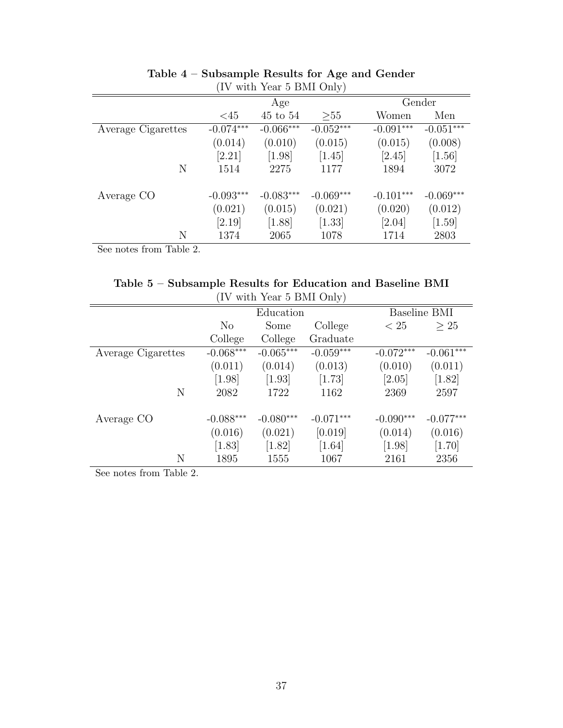| (IV with Year 5 BMI Only) |             |              |             |             |             |  |  |
|---------------------------|-------------|--------------|-------------|-------------|-------------|--|--|
|                           |             | Age          |             |             | Gender      |  |  |
|                           | <45         | $45$ to $54$ | > 55        | Women       | Men         |  |  |
| Average Cigarettes        | $-0.074***$ | $-0.066***$  | $-0.052***$ | $-0.091***$ | $-0.051***$ |  |  |
|                           | (0.014)     | (0.010)      | (0.015)     | (0.015)     | (0.008)     |  |  |
|                           | [2.21]      | $[1.98]$     | [1.45]      | [2.45]      | $[1.56]$    |  |  |
| N                         | 1514        | 2275         | 1177        | 1894        | 3072        |  |  |
|                           |             |              |             |             |             |  |  |
| Average CO                | $-0.093***$ | $-0.083***$  | $-0.069***$ | $-0.101***$ | $-0.069***$ |  |  |
|                           | (0.021)     | (0.015)      | (0.021)     | (0.020)     | (0.012)     |  |  |
|                           | [2.19]      | [1.88]       | $[1.33]$    | [2.04]      | [1.59]      |  |  |
| N                         | 1374        | 2065         | 1078        | 1714        | 2803        |  |  |

# Table 4 – Subsample Results for Age and Gender

See notes from Table 2.

| Table 5 – Subsample Results for Education and Baseline BMI |  |                           |  |  |
|------------------------------------------------------------|--|---------------------------|--|--|
|                                                            |  | (IV with Year 5 BMI Only) |  |  |

| $\frac{1}{2}$      |             |             |             |             |              |  |
|--------------------|-------------|-------------|-------------|-------------|--------------|--|
|                    | Education   |             |             |             | Baseline BMI |  |
|                    | $\rm No$    | Some        | College     | < 25        | > 25         |  |
|                    | College     | College     | Graduate    |             |              |  |
| Average Cigarettes | $-0.068***$ | $-0.065***$ | $-0.059***$ | $-0.072***$ | $-0.061***$  |  |
|                    | (0.011)     | (0.014)     | (0.013)     | (0.010)     | (0.011)      |  |
|                    | [1.98]      | [1.93]      | $[1.73]$    | [2.05]      | [1.82]       |  |
| N                  | 2082        | 1722        | 1162        | 2369        | 2597         |  |
| Average CO         | $-0.088***$ | $-0.080***$ | $-0.071***$ | $-0.090***$ | $-0.077***$  |  |
|                    | (0.016)     | (0.021)     | [0.019]     | (0.014)     | (0.016)      |  |
|                    | [1.83]      | [1.82]      | [1.64]      | [1.98]      | $[1.70]$     |  |
| N                  | 1895        | 1555        | 1067        | 2161        | 2356         |  |

See notes from Table 2.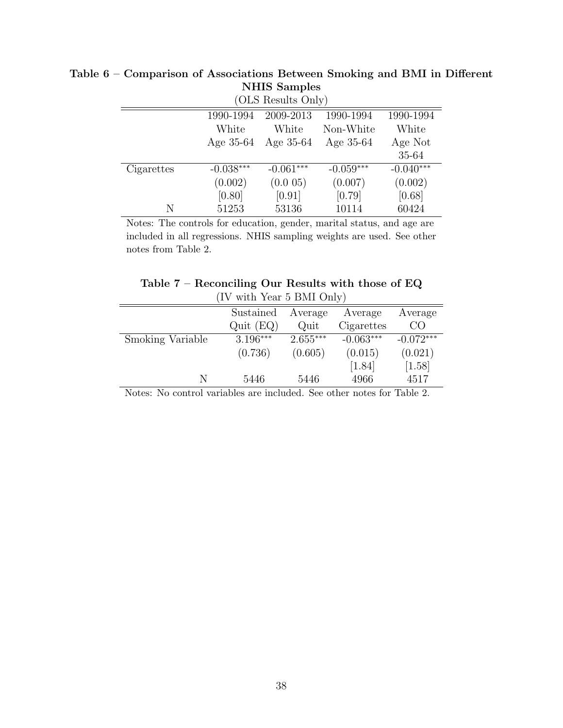| (OLS Results Only) |             |             |             |             |  |
|--------------------|-------------|-------------|-------------|-------------|--|
|                    | 1990-1994   | 2009-2013   | 1990-1994   | 1990-1994   |  |
|                    | White       | White       | Non-White   | White       |  |
|                    | Age $35-64$ | Age 35-64   | Age 35-64   | Age Not     |  |
|                    |             |             |             | 35-64       |  |
| Cigarettes         | $-0.038***$ | $-0.061***$ | $-0.059***$ | $-0.040***$ |  |
|                    | (0.002)     | (0.0 05)    | (0.007)     | (0.002)     |  |
|                    | [0.80]      | [0.91]      | [0.79]      | [0.68]      |  |
| N                  | 51253       | 53136       | 10114       | 60424       |  |

Table 6 – Comparison of Associations Between Smoking and BMI in Different NHIS Samples

Notes: The controls for education, gender, marital status, and age are included in all regressions. NHIS sampling weights are used. See other notes from Table 2.

Table 7 – Reconciling Our Results with those of EQ (IV with Year 5 BMI Only)

|                         | Sustained  | Average    | Average     | Average     |
|-------------------------|------------|------------|-------------|-------------|
|                         | Quit (EQ)  | Quit       | Cigarettes  | CO          |
| <b>Smoking Variable</b> | $3.196***$ | $2.655***$ | $-0.063***$ | $-0.072***$ |
|                         | (0.736)    | (0.605)    | (0.015)     | (0.021)     |
|                         |            |            | [1.84]      | [1.58]      |
| N                       | 5446       | 5446       | 4966        | 4517        |

Notes: No control variables are included. See other notes for Table 2.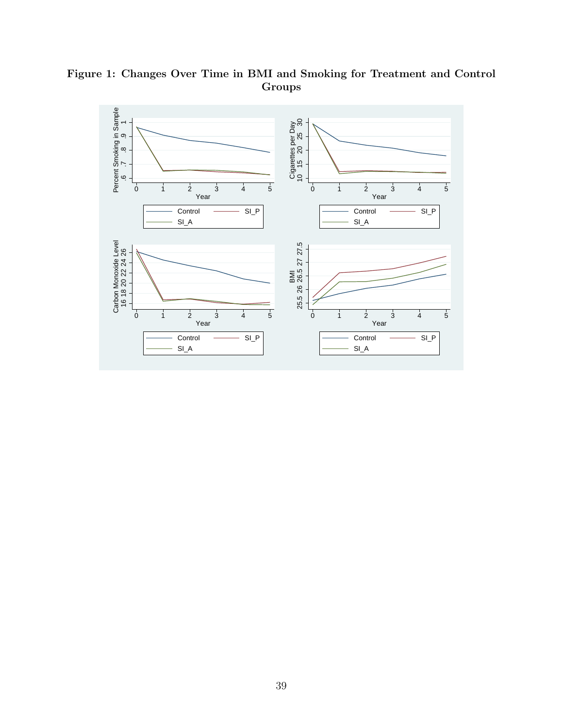

Figure 1: Changes Over Time in BMI and Smoking for Treatment and Control Groups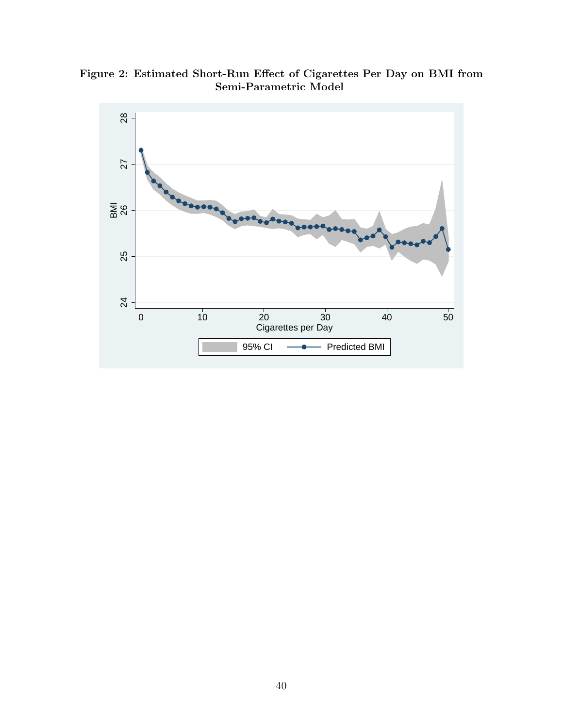Figure 2: Estimated Short-Run Effect of Cigarettes Per Day on BMI from Semi-Parametric Model

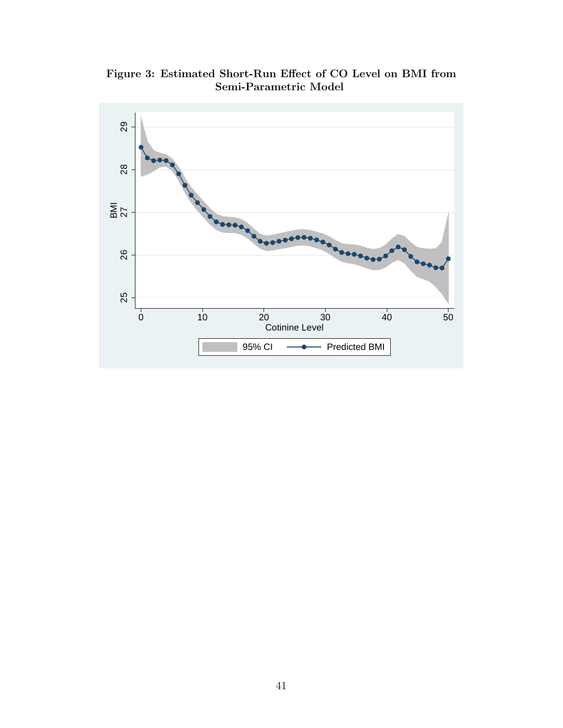Figure 3: Estimated Short-Run Effect of CO Level on BMI from Semi-Parametric Model

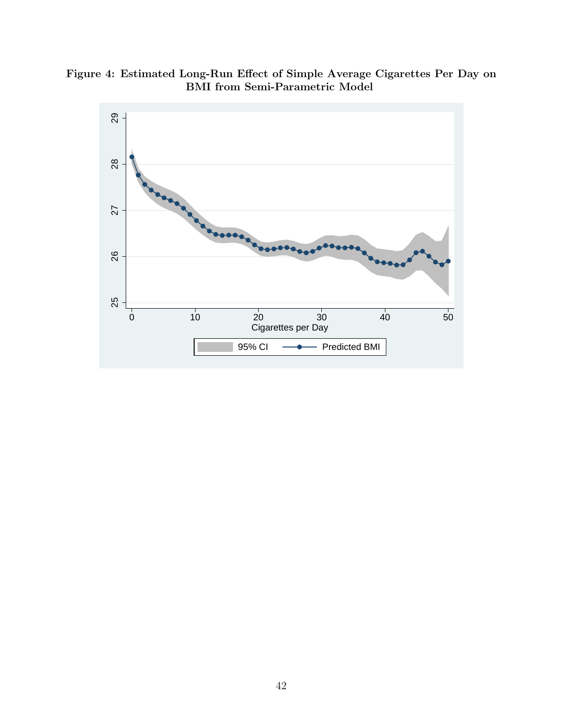

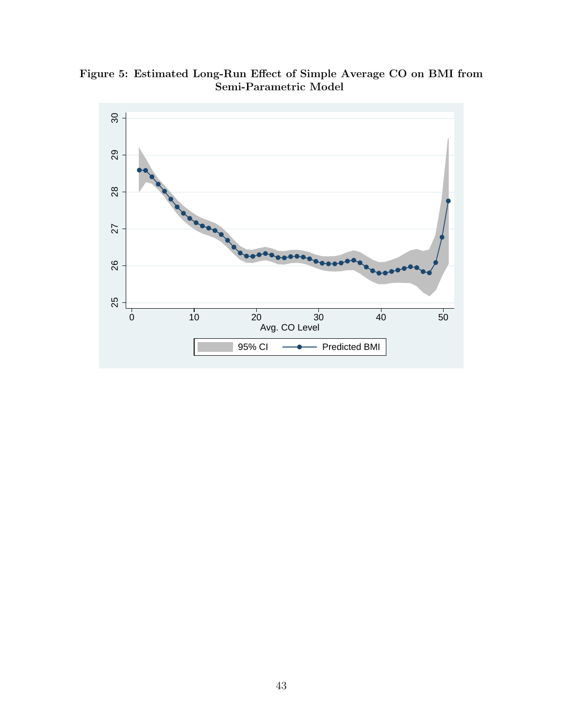Figure 5: Estimated Long-Run Effect of Simple Average CO on BMI from Semi-Parametric Model

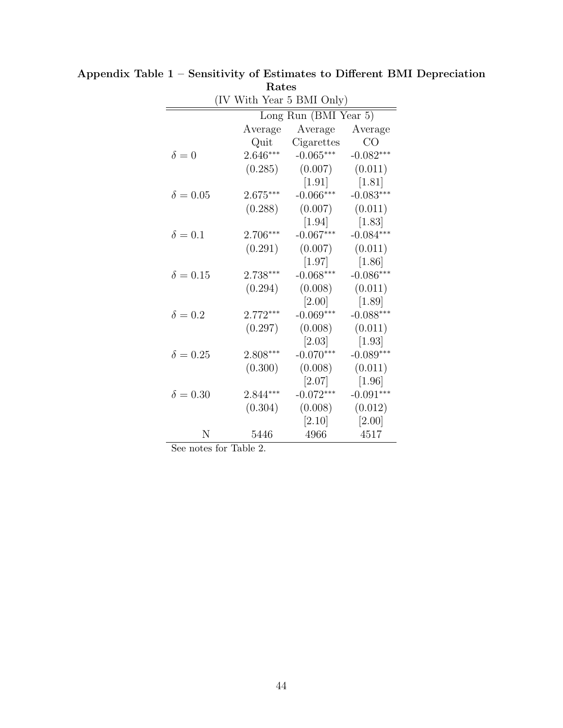|                 | (IV With Year 5 BMI Only) |                     |             |  |  |  |  |  |
|-----------------|---------------------------|---------------------|-------------|--|--|--|--|--|
|                 | Long Run (BMI Year 5)     |                     |             |  |  |  |  |  |
|                 | Average                   | Average             | Average     |  |  |  |  |  |
|                 | Quit                      | Cigarettes          | CO          |  |  |  |  |  |
| $\delta = 0$    | $2.646***$                | $-0.065***$         | $-0.082***$ |  |  |  |  |  |
|                 | (0.285)                   | (0.007)             | (0.011)     |  |  |  |  |  |
|                 |                           | $\left[1.91\right]$ | $[1.81]$    |  |  |  |  |  |
| $\delta = 0.05$ | $2.675***$                | $-0.066***$         | $-0.083***$ |  |  |  |  |  |
|                 | (0.288)                   | (0.007)             | (0.011)     |  |  |  |  |  |
|                 |                           | $\left[1.94\right]$ | $[1.83]$    |  |  |  |  |  |
| $\delta = 0.1$  | $2.706***$                | $-0.067***$         | $-0.084***$ |  |  |  |  |  |
|                 | (0.291)                   | (0.007)             | (0.011)     |  |  |  |  |  |
|                 |                           | $[1.97]$            | $[1.86]$    |  |  |  |  |  |
| $\delta = 0.15$ | 2.738***                  | $-0.068***$         | $-0.086***$ |  |  |  |  |  |
|                 | (0.294)                   | (0.008)             | (0.011)     |  |  |  |  |  |
|                 |                           | $[2.00]$            | $[1.89]$    |  |  |  |  |  |
| $\delta = 0.2$  | $2.772***$                | $-0.069***$         | $-0.088***$ |  |  |  |  |  |
|                 | (0.297)                   | (0.008)             | (0.011)     |  |  |  |  |  |
|                 |                           | $[2.03]$            | $[1.93]$    |  |  |  |  |  |
| $\delta = 0.25$ | 2.808***                  | $-0.070***$         | $-0.089***$ |  |  |  |  |  |
|                 | (0.300)                   | (0.008)             | (0.011)     |  |  |  |  |  |
|                 |                           | [2.07]              | [1.96]      |  |  |  |  |  |
| $\delta = 0.30$ | $2.844***$                | $-0.072***$         | $-0.091***$ |  |  |  |  |  |
|                 | (0.304)                   | (0.008)             | (0.012)     |  |  |  |  |  |
|                 |                           | [2.10]              | $[2.00]$    |  |  |  |  |  |
| N               | 5446                      | 4966                | 4517        |  |  |  |  |  |

Appendix Table 1 – Sensitivity of Estimates to Different BMI Depreciation Rates

See notes for Table 2.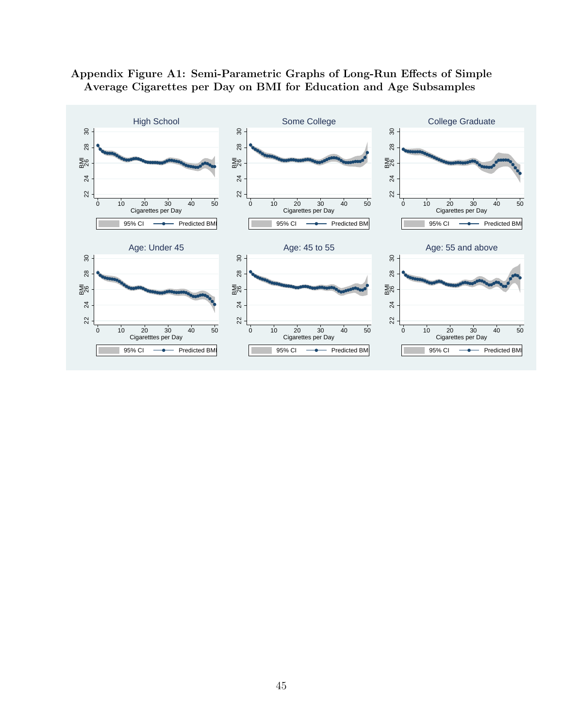

## Appendix Figure A1: Semi-Parametric Graphs of Long-Run Effects of Simple Average Cigarettes per Day on BMI for Education and Age Subsamples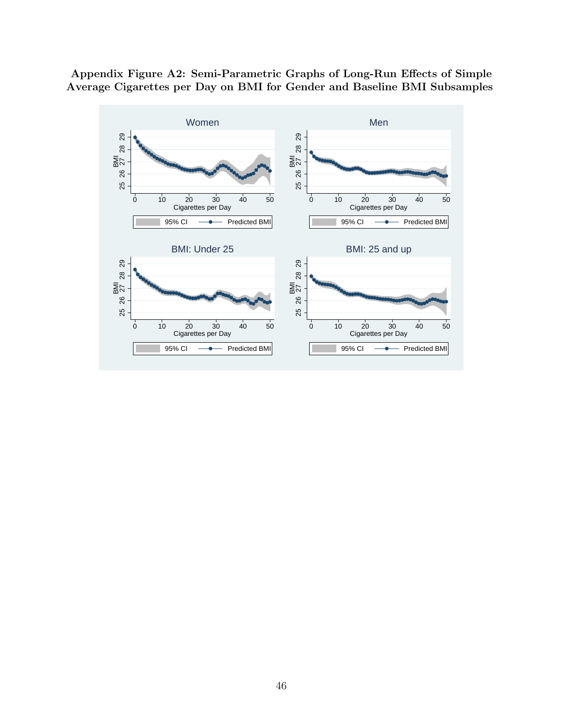Appendix Figure A2: Semi-Parametric Graphs of Long-Run Effects of Simple Average Cigarettes per Day on BMI for Gender and Baseline BMI Subsamples

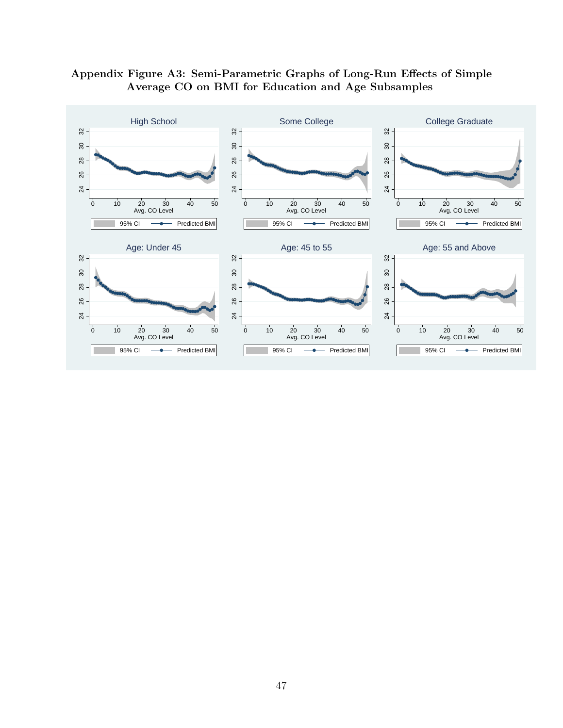